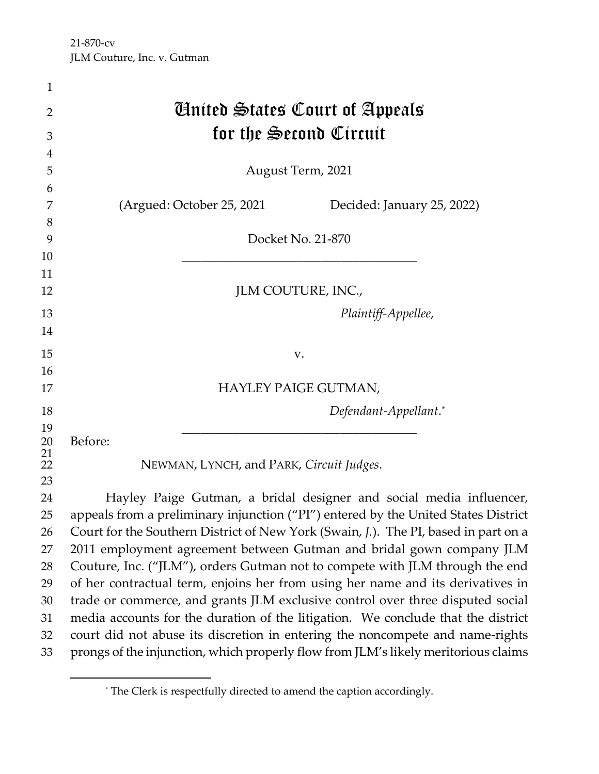| $\mathbf{1}$    |                                                                                     |  |
|-----------------|-------------------------------------------------------------------------------------|--|
| $\overline{2}$  | <b><i>Cinited States Court of Appeals</i></b>                                       |  |
| 3               | for the Second Circuit                                                              |  |
| $\overline{4}$  |                                                                                     |  |
| 5               | August Term, 2021                                                                   |  |
| 6               |                                                                                     |  |
| 7               | (Argued: October 25, 2021<br>Decided: January 25, 2022)                             |  |
| 8               |                                                                                     |  |
| 9               | Docket No. 21-870                                                                   |  |
| 10              |                                                                                     |  |
| 11              |                                                                                     |  |
| 12              | JLM COUTURE, INC.,                                                                  |  |
| 13              | Plaintiff-Appellee,                                                                 |  |
| 14              |                                                                                     |  |
| 15              | V.                                                                                  |  |
| 16              |                                                                                     |  |
| 17              | HAYLEY PAIGE GUTMAN,                                                                |  |
| 18              | Defendant-Appellant.*                                                               |  |
| 19              |                                                                                     |  |
| 20              | Before:                                                                             |  |
| $\frac{21}{22}$ | NEWMAN, LYNCH, and PARK, Circuit Judges.                                            |  |
| 23              |                                                                                     |  |
| 24              | Hayley Paige Gutman, a bridal designer and social media influencer,                 |  |
| 25              | appeals from a preliminary injunction ("PI") entered by the United States District  |  |
| 26              | Court for the Southern District of New York (Swain, J.). The PI, based in part on a |  |
| 27              | 2011 employment agreement between Gutman and bridal gown company JLM                |  |
| 28              | Couture, Inc. ("JLM"), orders Gutman not to compete with JLM through the end        |  |
| 29              | of her contractual term, enjoins her from using her name and its derivatives in     |  |
| 30              | trade or commerce, and grants JLM exclusive control over three disputed social      |  |
| 31              | media accounts for the duration of the litigation. We conclude that the district    |  |
| 32              | court did not abuse its discretion in entering the noncompete and name-rights       |  |
| 33              | prongs of the injunction, which properly flow from JLM's likely meritorious claims  |  |

<span id="page-0-0"></span><sup>\*</sup> The Clerk is respectfully directed to amend the caption accordingly.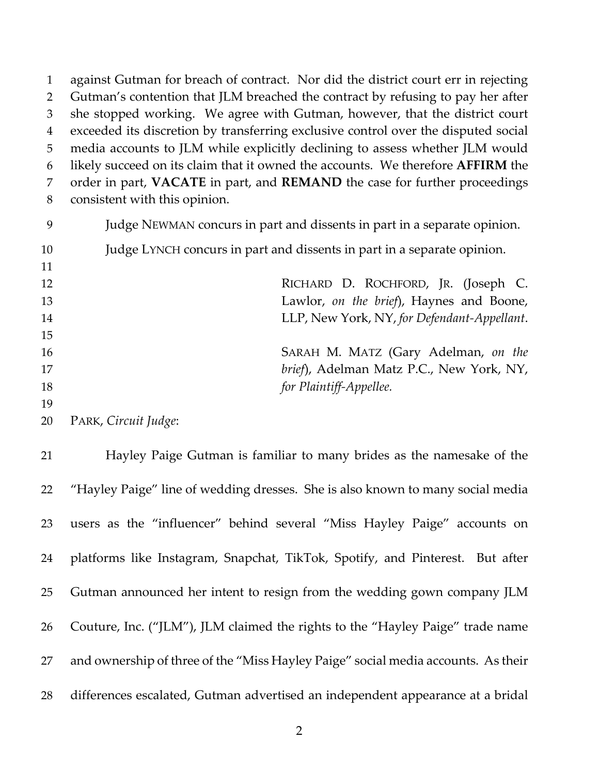against Gutman for breach of contract. Nor did the district court err in rejecting Gutman's contention that JLM breached the contract by refusing to pay her after she stopped working. We agree with Gutman, however, that the district court exceeded its discretion by transferring exclusive control over the disputed social media accounts to JLM while explicitly declining to assess whether JLM would likely succeed on its claim that it owned the accounts. We therefore **AFFIRM** the order in part, **VACATE** in part, and **REMAND** the case for further proceedings consistent with this opinion. Judge NEWMAN concurs in part and dissents in part in a separate opinion. Judge LYNCH concurs in part and dissents in part in a separate opinion.

| 12 | RICHARD D. ROCHFORD, JR. (Joseph C.         |
|----|---------------------------------------------|
| 13 | Lawlor, on the brief), Haynes and Boone,    |
| 14 | LLP, New York, NY, for Defendant-Appellant. |
| 15 |                                             |
| 16 | SARAH M. MATZ (Gary Adelman, on the         |
| 17 | brief), Adelman Matz P.C., New York, NY,    |
| 18 | for Plaintiff-Appellee.                     |
| 19 |                                             |

PARK, *Circuit Judge*:

 $\overline{1}$ 

 Hayley Paige Gutman is familiar to many brides as the namesake of the "Hayley Paige" line of wedding dresses. She is also known to many social media users as the "influencer" behind several "Miss Hayley Paige" accounts on platforms like Instagram, Snapchat, TikTok, Spotify, and Pinterest. But after Gutman announced her intent to resign from the wedding gown company JLM Couture, Inc. ("JLM"), JLM claimed the rights to the "Hayley Paige" trade name and ownership of three of the "Miss Hayley Paige" social media accounts. As their differences escalated, Gutman advertised an independent appearance at a bridal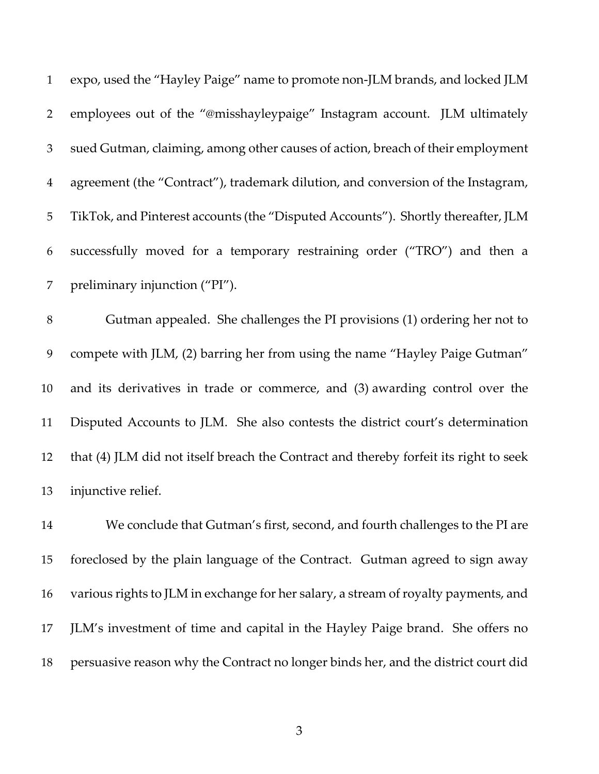| $\mathbf{1}$   | expo, used the "Hayley Paige" name to promote non-JLM brands, and locked JLM      |
|----------------|-----------------------------------------------------------------------------------|
| 2              | employees out of the "@misshayleypaige" Instagram account. JLM ultimately         |
| 3              | sued Gutman, claiming, among other causes of action, breach of their employment   |
| $\overline{4}$ | agreement (the "Contract"), trademark dilution, and conversion of the Instagram,  |
| 5 <sup>1</sup> | TikTok, and Pinterest accounts (the "Disputed Accounts"). Shortly thereafter, JLM |
| 6              | successfully moved for a temporary restraining order ("TRO") and then a           |
| 7 <sup>7</sup> | preliminary injunction ("PI").                                                    |

 Gutman appealed. She challenges the PI provisions (1) ordering her not to compete with JLM, (2) barring her from using the name "Hayley Paige Gutman" and its derivatives in trade or commerce, and (3) awarding control over the Disputed Accounts to JLM. She also contests the district court's determination that (4) JLM did not itself breach the Contract and thereby forfeit its right to seek injunctive relief.

 We conclude that Gutman's first, second, and fourth challenges to the PI are foreclosed by the plain language of the Contract. Gutman agreed to sign away various rights to JLM in exchange for her salary, a stream of royalty payments, and JLM's investment of time and capital in the Hayley Paige brand. She offers no persuasive reason why the Contract no longer binds her, and the district court did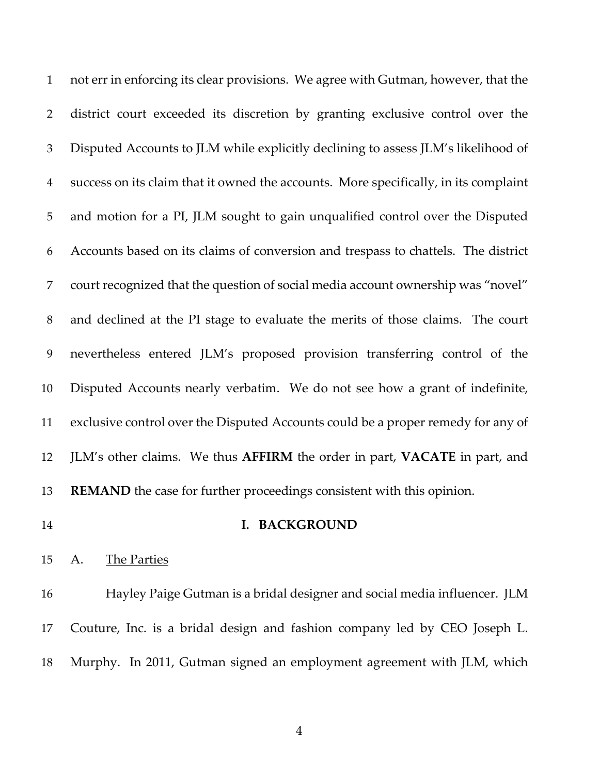not err in enforcing its clear provisions. We agree with Gutman, however, that the district court exceeded its discretion by granting exclusive control over the Disputed Accounts to JLM while explicitly declining to assess JLM's likelihood of success on its claim that it owned the accounts. More specifically, in its complaint and motion for a PI, JLM sought to gain unqualified control over the Disputed Accounts based on its claims of conversion and trespass to chattels. The district court recognized that the question of social media account ownership was "novel" and declined at the PI stage to evaluate the merits of those claims. The court nevertheless entered JLM's proposed provision transferring control of the Disputed Accounts nearly verbatim. We do not see how a grant of indefinite, exclusive control over the Disputed Accounts could be a proper remedy for any of JLM's other claims. We thus **AFFIRM** the order in part, **VACATE** in part, and **REMAND** the case for further proceedings consistent with this opinion.

## **I. BACKGROUND**

A. The Parties

 Hayley Paige Gutman is a bridal designer and social media influencer. JLM Couture, Inc. is a bridal design and fashion company led by CEO Joseph L. Murphy. In 2011, Gutman signed an employment agreement with JLM, which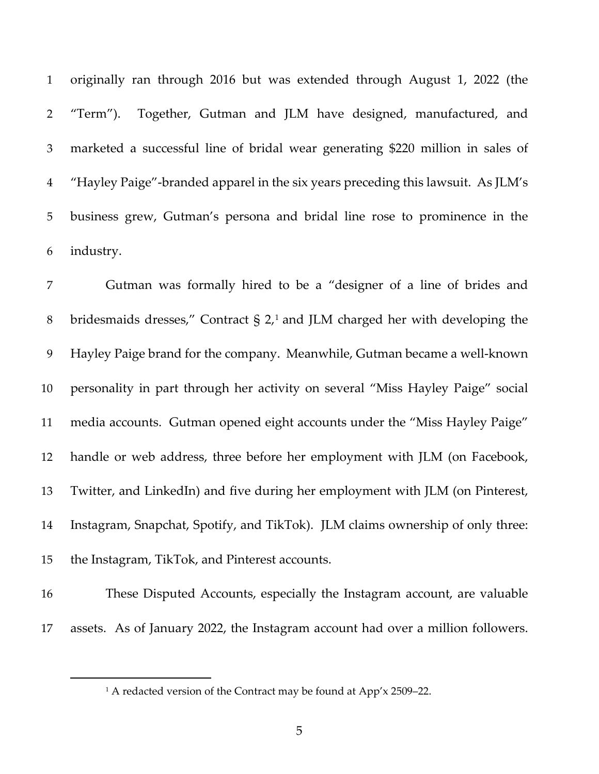originally ran through 2016 but was extended through August 1, 2022 (the "Term"). Together, Gutman and JLM have designed, manufactured, and marketed a successful line of bridal wear generating \$220 million in sales of "Hayley Paige"-branded apparel in the six years preceding this lawsuit. As JLM's business grew, Gutman's persona and bridal line rose to prominence in the industry.

 Gutman was formally hired to be a "designer of a line of brides and 8 bridesmaids dresses," Contract  $\S 2<sub>1</sub>$  $\S 2<sub>1</sub>$  $\S 2<sub>1</sub>$  and JLM charged her with developing the Hayley Paige brand for the company. Meanwhile, Gutman became a well-known personality in part through her activity on several "Miss Hayley Paige" social media accounts. Gutman opened eight accounts under the "Miss Hayley Paige" handle or web address, three before her employment with JLM (on Facebook, Twitter, and LinkedIn) and five during her employment with JLM (on Pinterest, Instagram, Snapchat, Spotify, and TikTok). JLM claims ownership of only three: the Instagram, TikTok, and Pinterest accounts.

 These Disputed Accounts, especially the Instagram account, are valuable assets. As of January 2022, the Instagram account had over a million followers.

<span id="page-4-0"></span>

<sup>&</sup>lt;sup>1</sup> A redacted version of the Contract may be found at App'x 2509-22.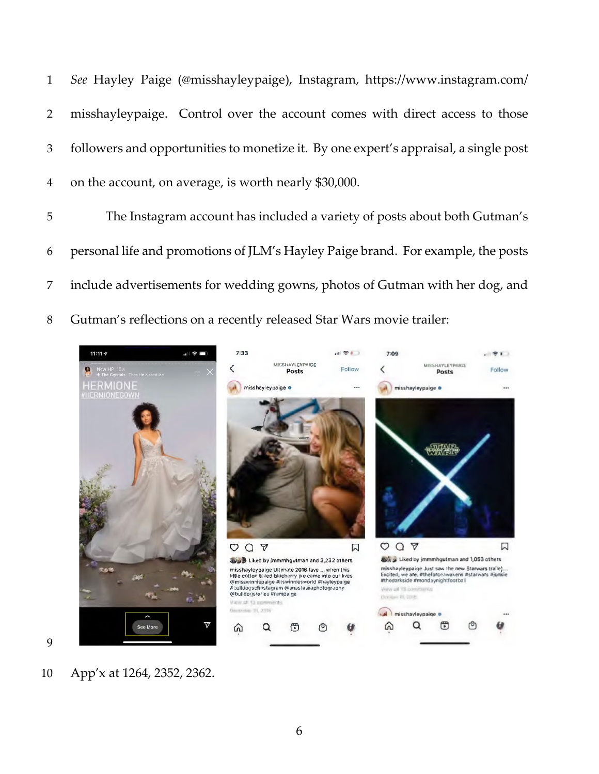*See* Hayley Paige (@misshayleypaige), Instagram, https://www.instagram.com/ misshayleypaige. Control over the account comes with direct access to those followers and opportunities to monetize it. By one expert's appraisal, a single post on the account, on average, is worth nearly \$30,000.

 The Instagram account has included a variety of posts about both Gutman's personal life and promotions of JLM's Hayley Paige brand. For example, the posts include advertisements for wedding gowns, photos of Gutman with her dog, and Gutman's reflections on a recently released Star Wars movie trailer:



App'x at 1264, 2352, 2362.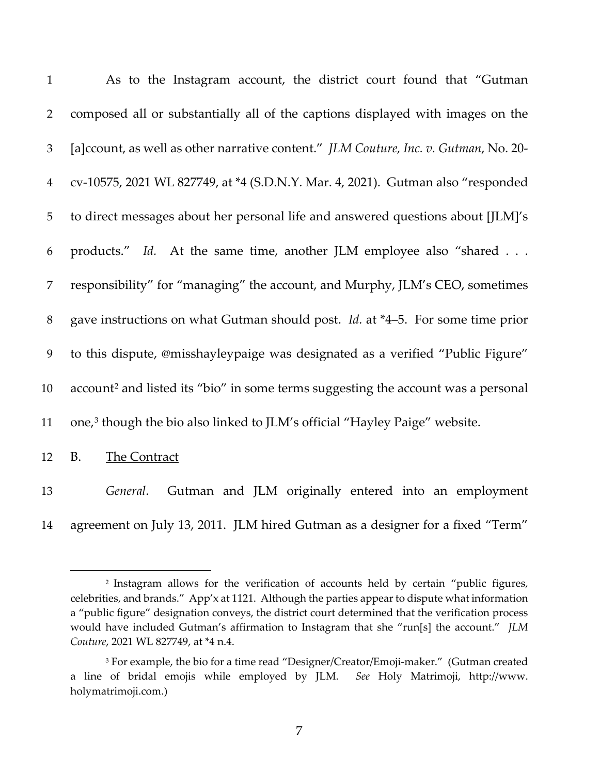| $\mathbf{1}$   | As to the Instagram account, the district court found that "Gutman                            |
|----------------|-----------------------------------------------------------------------------------------------|
| $\overline{2}$ | composed all or substantially all of the captions displayed with images on the                |
| $\mathfrak{Z}$ | [a]ccount, as well as other narrative content." <i>JLM Couture</i> , Inc. v. Gutman, No. 20-  |
| $\overline{4}$ | cv-10575, 2021 WL 827749, at *4 (S.D.N.Y. Mar. 4, 2021). Gutman also "responded               |
| 5              | to direct messages about her personal life and answered questions about [JLM]'s               |
| 6              | products." Id. At the same time, another JLM employee also "shared                            |
| $\overline{7}$ | responsibility" for "managing" the account, and Murphy, JLM's CEO, sometimes                  |
| $8\,$          | gave instructions on what Gutman should post. Id. at *4-5. For some time prior                |
| 9              | to this dispute, @misshayleypaige was designated as a verified "Public Figure"                |
| 10             | account <sup>2</sup> and listed its "bio" in some terms suggesting the account was a personal |
| 11             | one, <sup>3</sup> though the bio also linked to JLM's official "Hayley Paige" website.        |
| 12             | <b>B.</b><br>The Contract                                                                     |
| 13             | Gutman and JLM originally entered into an employment<br>General.                              |
| 14             | agreement on July 13, 2011. JLM hired Gutman as a designer for a fixed "Term"                 |

<span id="page-6-0"></span> Instagram allows for the verification of accounts held by certain "public figures, celebrities, and brands." App'x at 1121. Although the parties appear to dispute what information a "public figure" designation conveys, the district court determined that the verification process would have included Gutman's affirmation to Instagram that she "run[s] the account." *JLM Couture*, 2021 WL 827749, at \*4 n.4.

<span id="page-6-1"></span> For example, the bio for a time read "Designer/Creator/Emoji-maker."(Gutman created a line of bridal emojis while employed by JLM. *See* Holy Matrimoji, http://www. holymatrimoji.com.)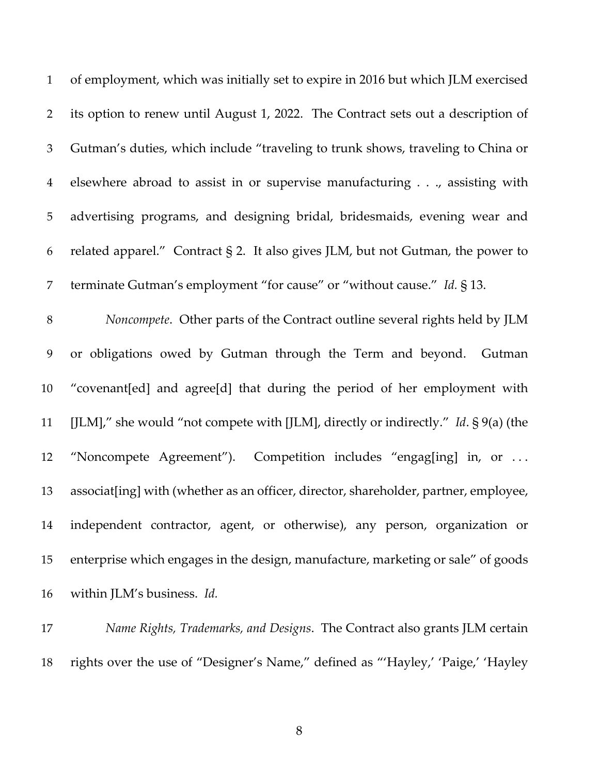| $\mathbf{1}$   | of employment, which was initially set to expire in 2016 but which JLM exercised       |
|----------------|----------------------------------------------------------------------------------------|
| $\overline{2}$ | its option to renew until August 1, 2022. The Contract sets out a description of       |
| 3              | Gutman's duties, which include "traveling to trunk shows, traveling to China or        |
| $\overline{4}$ | elsewhere abroad to assist in or supervise manufacturing, assisting with               |
| 5              | advertising programs, and designing bridal, bridesmaids, evening wear and              |
| 6              | related apparel." Contract § 2. It also gives JLM, but not Gutman, the power to        |
| 7              | terminate Gutman's employment "for cause" or "without cause." Id. § 13.                |
| $8\,$          | Noncompete. Other parts of the Contract outline several rights held by JLM             |
|                |                                                                                        |
| 9              | or obligations owed by Gutman through the Term and beyond. Gutman                      |
| 10             | "covenant[ed] and agree[d] that during the period of her employment with               |
| 11             | [JLM]," she would "not compete with [JLM], directly or indirectly." Id. $\S$ 9(a) (the |
| 12             | "Noncompete Agreement"). Competition includes "engag[ing] in, or                       |
| 13             | associat[ing] with (whether as an officer, director, shareholder, partner, employee,   |
| 14             | independent contractor, agent, or otherwise), any person, organization or              |
| 15             | enterprise which engages in the design, manufacture, marketing or sale" of goods       |

 *Name Rights, Trademarks, and Designs*. The Contract also grants JLM certain rights over the use of "Designer's Name," defined as "'Hayley,' 'Paige,' 'Hayley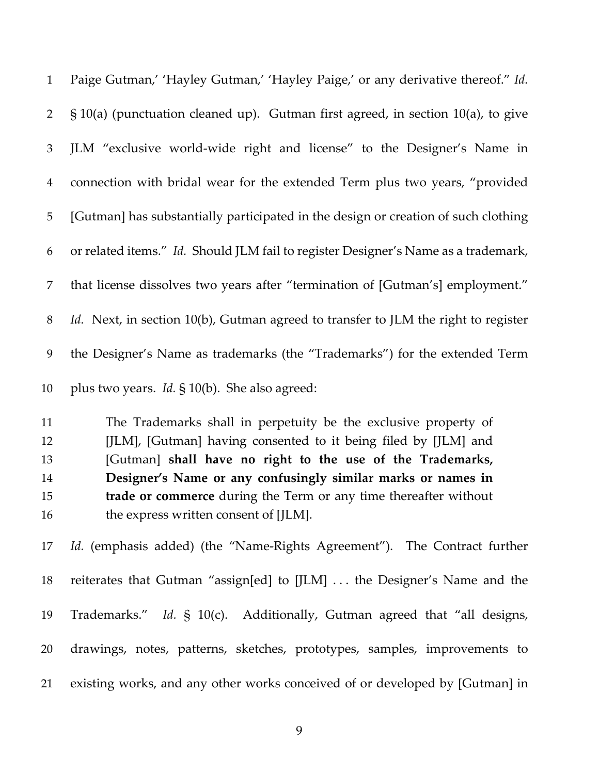| $\mathbf{1}$   | Paige Gutman,' 'Hayley Gutman,' 'Hayley Paige,' or any derivative thereof." Id.     |  |
|----------------|-------------------------------------------------------------------------------------|--|
| $\overline{2}$ | $\S 10(a)$ (punctuation cleaned up). Gutman first agreed, in section 10(a), to give |  |
| 3              | JLM "exclusive world-wide right and license" to the Designer's Name in              |  |
| $\overline{4}$ | connection with bridal wear for the extended Term plus two years, "provided         |  |
| 5              | [Gutman] has substantially participated in the design or creation of such clothing  |  |
| 6              | or related items." Id. Should JLM fail to register Designer's Name as a trademark,  |  |
| 7              | that license dissolves two years after "termination of [Gutman's] employment."      |  |
| $8\,$          | Id. Next, in section 10(b), Gutman agreed to transfer to JLM the right to register  |  |
| 9              | the Designer's Name as trademarks (the "Trademarks") for the extended Term          |  |
| 10             | plus two years. <i>Id.</i> § 10(b). She also agreed:                                |  |
| 11             | The Trademarks shall in perpetuity be the exclusive property of                     |  |
| 12             | [JLM], [Gutman] having consented to it being filed by [JLM] and                     |  |
| 13             | [Gutman] shall have no right to the use of the Trademarks,                          |  |
| 14             | Designer's Name or any confusingly similar marks or names in                        |  |
| 15             | trade or commerce during the Term or any time thereafter without                    |  |
| 16             | the express written consent of [JLM].                                               |  |
| 17             | Id. (emphasis added) (the "Name-Rights Agreement"). The Contract further            |  |
| 18             | reiterates that Gutman "assign[ed] to [JLM]  the Designer's Name and the            |  |
| 19             | Trademarks." Id. § 10(c). Additionally, Gutman agreed that "all designs,            |  |
| 20             | drawings, notes, patterns, sketches, prototypes, samples, improvements to           |  |
| 21             | existing works, and any other works conceived of or developed by [Gutman] in        |  |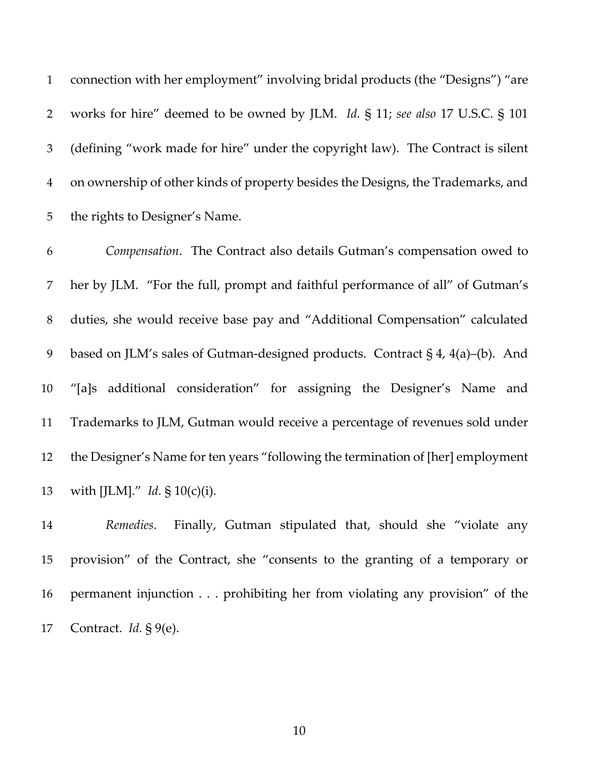connection with her employment" involving bridal products (the "Designs") "are works for hire" deemed to be owned by JLM. *Id.* § 11; *see also* 17 U.S.C. § 101 (defining "work made for hire" under the copyright law). The Contract is silent on ownership of other kinds of property besides the Designs, the Trademarks, and the rights to Designer's Name.

 *Compensation*. The Contract also details Gutman's compensation owed to her by JLM. "For the full, prompt and faithful performance of all" of Gutman's duties, she would receive base pay and "Additional Compensation" calculated based on JLM's sales of Gutman-designed products. Contract § 4, 4(a)–(b). And "[a]s additional consideration" for assigning the Designer's Name and Trademarks to JLM, Gutman would receive a percentage of revenues sold under the Designer's Name for ten years "following the termination of [her] employment with [JLM]." *Id.* § 10(c)(i).

 *Remedies*. Finally, Gutman stipulated that, should she "violate any provision" of the Contract, she "consents to the granting of a temporary or permanent injunction . . . prohibiting her from violating any provision" of the Contract. *Id.* § 9(e).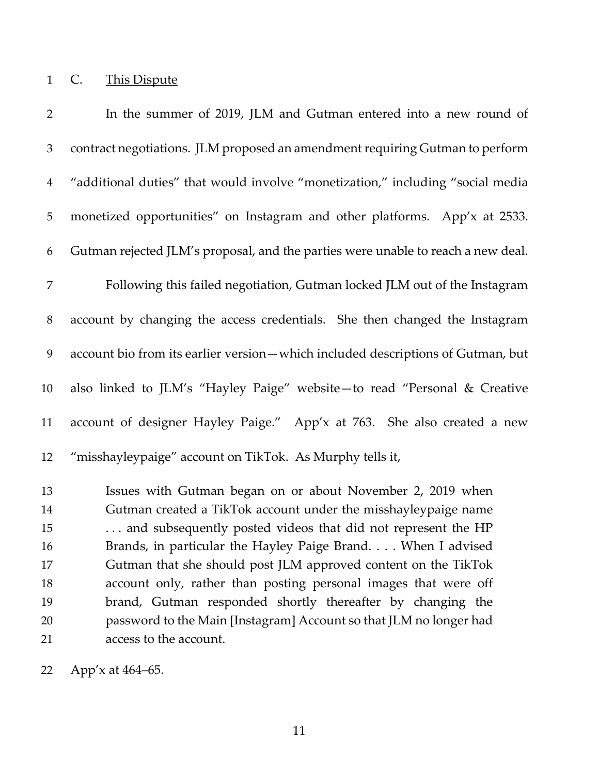C. This Dispute

 In the summer of 2019, JLM and Gutman entered into a new round of contract negotiations. JLM proposed an amendment requiring Gutman to perform "additional duties" that would involve "monetization," including "social media monetized opportunities" on Instagram and other platforms. App'x at 2533. Gutman rejected JLM's proposal, and the parties were unable to reach a new deal. Following this failed negotiation, Gutman locked JLM out of the Instagram account by changing the access credentials. She then changed the Instagram account bio from its earlier version—which included descriptions of Gutman, but also linked to JLM's "Hayley Paige" website—to read "Personal & Creative account of designer Hayley Paige." App'x at 763. She also created a new "misshayleypaige" account on TikTok. As Murphy tells it, Issues with Gutman began on or about November 2, 2019 when Gutman created a TikTok account under the misshayleypaige name . . . and subsequently posted videos that did not represent the HP Brands, in particular the Hayley Paige Brand. . . . When I advised Gutman that she should post JLM approved content on the TikTok account only, rather than posting personal images that were off brand, Gutman responded shortly thereafter by changing the password to the Main [Instagram] Account so that JLM no longer had access to the account.

App'x at 464–65.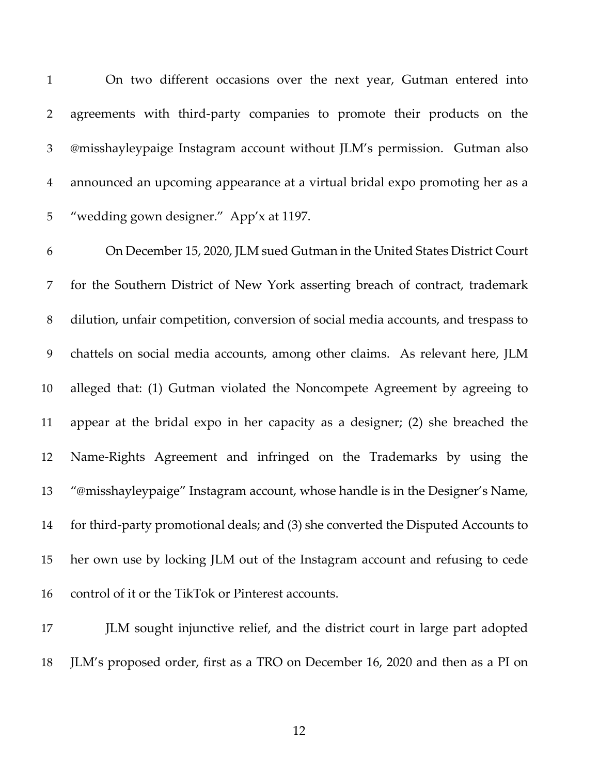On two different occasions over the next year, Gutman entered into agreements with third-party companies to promote their products on the @misshayleypaige Instagram account without JLM's permission.Gutman also announced an upcoming appearance at a virtual bridal expo promoting her as a "wedding gown designer." App'x at 1197.

 On December 15, 2020, JLM sued Gutman in the United States District Court for the Southern District of New York asserting breach of contract, trademark dilution, unfair competition, conversion of social media accounts, and trespass to chattels on social media accounts, among other claims. As relevant here, JLM alleged that: (1) Gutman violated the Noncompete Agreement by agreeing to appear at the bridal expo in her capacity as a designer; (2) she breached the Name-Rights Agreement and infringed on the Trademarks by using the "@misshayleypaige" Instagram account, whose handle is in the Designer's Name, for third-party promotional deals; and (3) she converted the Disputed Accounts to her own use by locking JLM out of the Instagram account and refusing to cede control of it or the TikTok or Pinterest accounts.

 JLM sought injunctive relief, and the district court in large part adopted JLM's proposed order, first as a TRO on December 16, 2020 and then as a PI on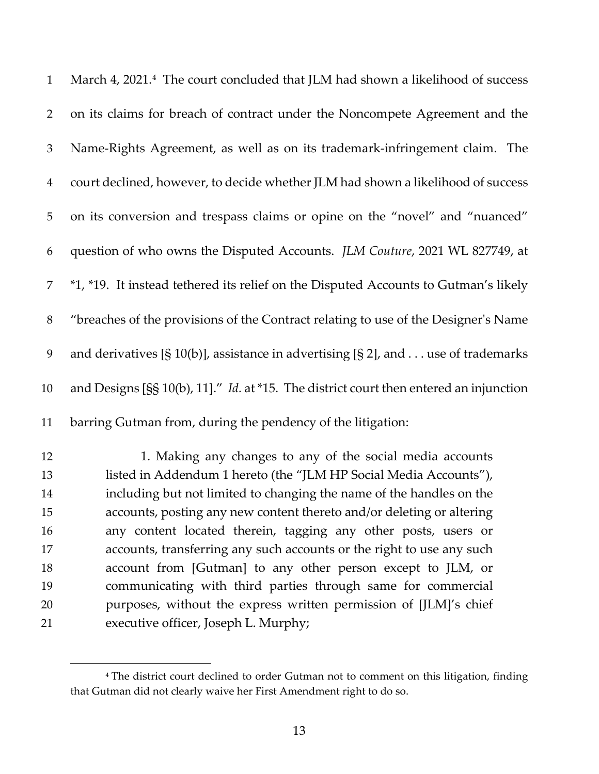| $\mathbf{1}$   | March 4, 2021. <sup>4</sup> The court concluded that JLM had shown a likelihood of success       |
|----------------|--------------------------------------------------------------------------------------------------|
| $\overline{2}$ | on its claims for breach of contract under the Noncompete Agreement and the                      |
| 3              | Name-Rights Agreement, as well as on its trademark-infringement claim. The                       |
| $\overline{4}$ | court declined, however, to decide whether JLM had shown a likelihood of success                 |
| 5              | on its conversion and trespass claims or opine on the "novel" and "nuanced"                      |
| 6              | question of who owns the Disputed Accounts. JLM Couture, 2021 WL 827749, at                      |
| 7              | *1, *19. It instead tethered its relief on the Disputed Accounts to Gutman's likely              |
| $8\,$          | "breaches of the provisions of the Contract relating to use of the Designer's Name               |
| 9              | and derivatives [§ 10(b)], assistance in advertising [§ 2], and use of trademarks                |
| 10             | and Designs [SS $10(b)$ , 11]." <i>Id.</i> at *15. The district court then entered an injunction |
| 11             | barring Gutman from, during the pendency of the litigation:                                      |
| 12             | 1. Making any changes to any of the social media accounts                                        |
| 13             | listed in Addendum 1 hereto (the "JLM HP Social Media Accounts"),                                |
|                |                                                                                                  |

 including but not limited to changing the name of the handles on the accounts, posting any new content thereto and/or deleting or altering any content located therein, tagging any other posts, users or accounts, transferring any such accounts or the right to use any such account from [Gutman] to any other person except to JLM, or communicating with third parties through same for commercial purposes, without the express written permission of [JLM]'s chief executive officer, Joseph L. Murphy;

<span id="page-12-0"></span><sup>&</sup>lt;sup>4</sup> The district court declined to order Gutman not to comment on this litigation, finding that Gutman did not clearly waive her First Amendment right to do so.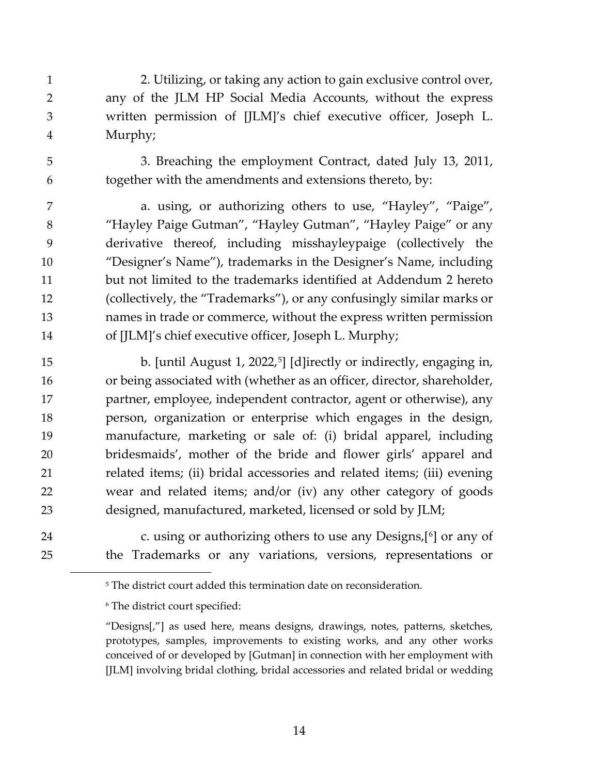- 2. Utilizing, or taking any action to gain exclusive control over, any of the JLM HP Social Media Accounts, without the express written permission of [JLM]'s chief executive officer, Joseph L. Murphy;
- 

 3. Breaching the employment Contract, dated July 13, 2011, together with the amendments and extensions thereto, by:

 a. using, or authorizing others to use, "Hayley", "Paige", "Hayley Paige Gutman", "Hayley Gutman", "Hayley Paige" or any derivative thereof, including misshayleypaige (collectively the "Designer's Name"), trademarks in the Designer's Name, including but not limited to the trademarks identified at Addendum 2 hereto (collectively, the "Trademarks"), or any confusingly similar marks or names in trade or commerce, without the express written permission of [JLM]'s chief executive officer, Joseph L. Murphy;

[5](#page-13-0) b. [until August 1, 2022,<sup>5</sup>] [d]irectly or indirectly, engaging in, or being associated with (whether as an officer, director, shareholder, partner, employee, independent contractor, agent or otherwise), any person, organization or enterprise which engages in the design, manufacture, marketing or sale of: (i) bridal apparel, including bridesmaids', mother of the bride and flower girls' apparel and related items; (ii) bridal accessories and related items; (iii) evening wear and related items; and/or (iv) any other category of goods designed, manufactured, marketed, licensed or sold by JLM;

<span id="page-13-1"></span><span id="page-13-0"></span>24 **24 c.** using or authorizing others to use any Designs, <sup>[[6](#page-13-1)]</sup> or any of the Trademarks or any variations, versions, representations or

<sup>&</sup>lt;sup>5</sup> The district court added this termination date on reconsideration.

The district court specified:

<sup>&</sup>quot;Designs[,"] as used here, means designs, drawings, notes, patterns, sketches, prototypes, samples, improvements to existing works, and any other works conceived of or developed by [Gutman] in connection with her employment with [JLM] involving bridal clothing, bridal accessories and related bridal or wedding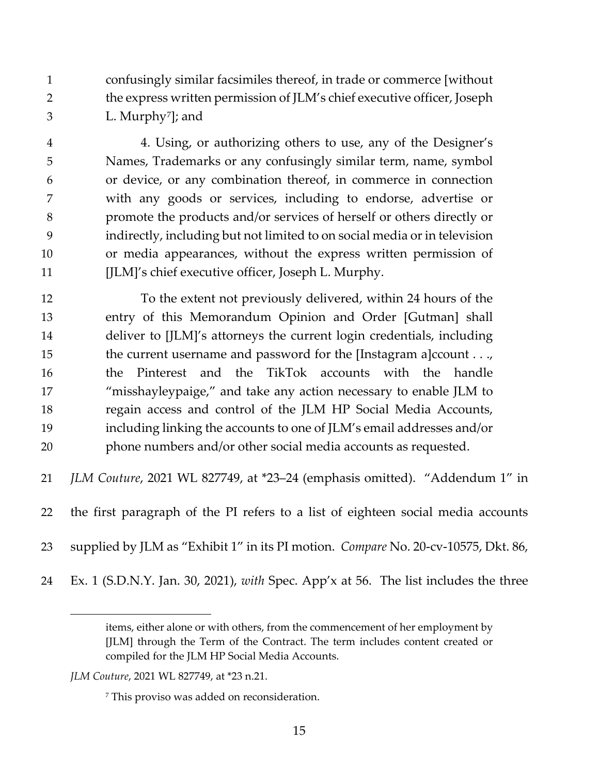confusingly similar facsimiles thereof, in trade or commerce [without the express written permission of JLM's chief executive officer, Joseph 3  $L.$  Murphy<sup>[7](#page-14-0)</sup>]; and

 4. Using, or authorizing others to use, any of the Designer's Names, Trademarks or any confusingly similar term, name, symbol or device, or any combination thereof, in commerce in connection with any goods or services, including to endorse, advertise or promote the products and/or services of herself or others directly or indirectly, including but not limited to on social media or in television or media appearances, without the express written permission of 11 [JLM]'s chief executive officer, Joseph L. Murphy.

 To the extent not previously delivered, within 24 hours of the entry of this Memorandum Opinion and Order [Gutman] shall deliver to [JLM]'s attorneys the current login credentials, including 15 the current username and password for the [Instagram a]ccount . . ., the Pinterest and the TikTok accounts with the handle "misshayleypaige," and take any action necessary to enable JLM to regain access and control of the JLM HP Social Media Accounts, including linking the accounts to one of JLM's email addresses and/or phone numbers and/or other social media accounts as requested.

*JLM Couture*, 2021 WL 827749, at \*23–24 (emphasis omitted). "Addendum 1" in

the first paragraph of the PI refers to a list of eighteen social media accounts

supplied by JLM as "Exhibit 1" in its PI motion. *Compare* No. 20-cv-10575, Dkt. 86,

Ex. 1 (S.D.N.Y. Jan. 30, 2021), *with* Spec. App'x at 56. The list includes the three

items, either alone or with others, from the commencement of her employment by [JLM] through the Term of the Contract. The term includes content created or compiled for the JLM HP Social Media Accounts.

<span id="page-14-0"></span>*JLM Couture*, 2021 WL 827749, at \*23 n.21.

This proviso was added on reconsideration.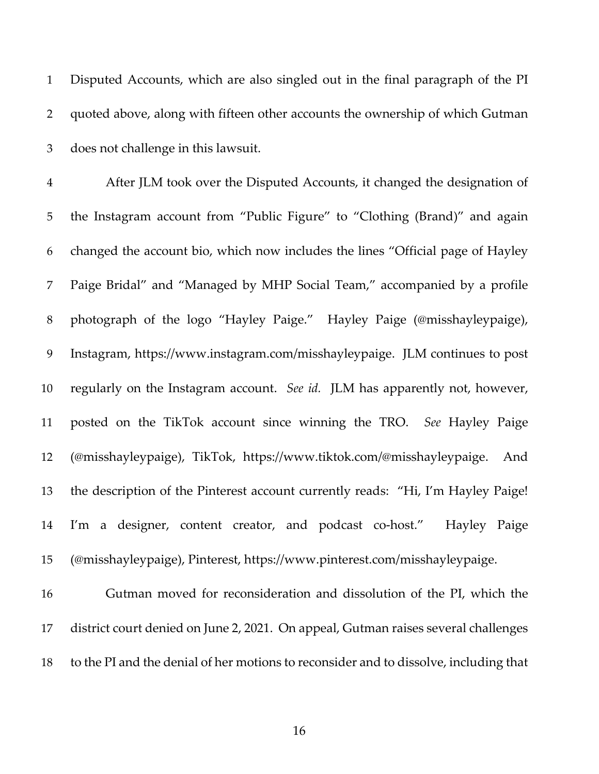Disputed Accounts, which are also singled out in the final paragraph of the PI quoted above, along with fifteen other accounts the ownership of which Gutman does not challenge in this lawsuit.

 After JLM took over the Disputed Accounts, it changed the designation of the Instagram account from "Public Figure" to "Clothing (Brand)" and again changed the account bio, which now includes the lines "Official page of Hayley Paige Bridal" and "Managed by MHP Social Team," accompanied by a profile photograph of the logo "Hayley Paige." Hayley Paige (@misshayleypaige), Instagram, https://www.instagram.com/misshayleypaige. JLM continues to post regularly on the Instagram account. *See id.* JLM has apparently not, however, posted on the TikTok account since winning the TRO. *See* Hayley Paige (@misshayleypaige), TikTok, https://www.tiktok.com/@misshayleypaige. And the description of the Pinterest account currently reads: "Hi, I'm Hayley Paige! I'm a designer, content creator, and podcast co-host." Hayley Paige (@misshayleypaige), Pinterest, https://www.pinterest.com/misshayleypaige.

 Gutman moved for reconsideration and dissolution of the PI, which the district court denied on June 2, 2021. On appeal, Gutman raises several challenges to the PI and the denial of her motions to reconsider and to dissolve, including that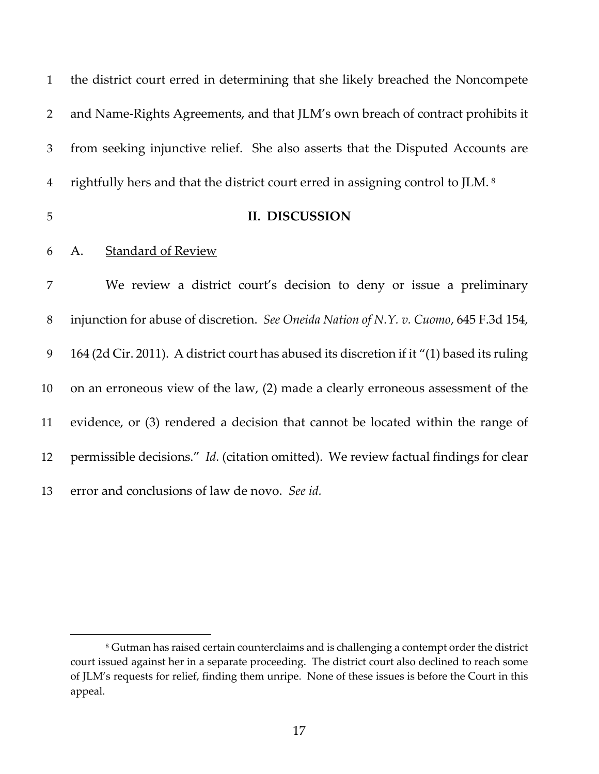| $\mathbf{1}$   | the district court erred in determining that she likely breached the Noncompete             |
|----------------|---------------------------------------------------------------------------------------------|
| 2              | and Name-Rights Agreements, and that JLM's own breach of contract prohibits it              |
| 3              | from seeking injunctive relief. She also asserts that the Disputed Accounts are             |
| $\overline{4}$ | rightfully hers and that the district court erred in assigning control to JLM. <sup>8</sup> |
| 5              | II. DISCUSSION                                                                              |
| 6              | <u>Standard of Review</u><br>A.                                                             |
| 7              | We review a district court's decision to deny or issue a preliminary                        |
| $8\,$          | injunction for abuse of discretion. See Oneida Nation of N.Y. v. Cuomo, 645 F.3d 154,       |
| 9              | 164 (2d Cir. 2011). A district court has abused its discretion if it "(1) based its ruling  |
| 10             | on an erroneous view of the law, (2) made a clearly erroneous assessment of the             |
| 11             | evidence, or (3) rendered a decision that cannot be located within the range of             |
| 12             | permissible decisions." Id. (citation omitted). We review factual findings for clear        |
| 13             | error and conclusions of law de novo. See id.                                               |

<span id="page-16-0"></span> Gutman has raised certain counterclaims and is challenging a contempt order the district court issued against her in a separate proceeding. The district court also declined to reach some of JLM's requests for relief, finding them unripe. None of these issues is before the Court in this appeal.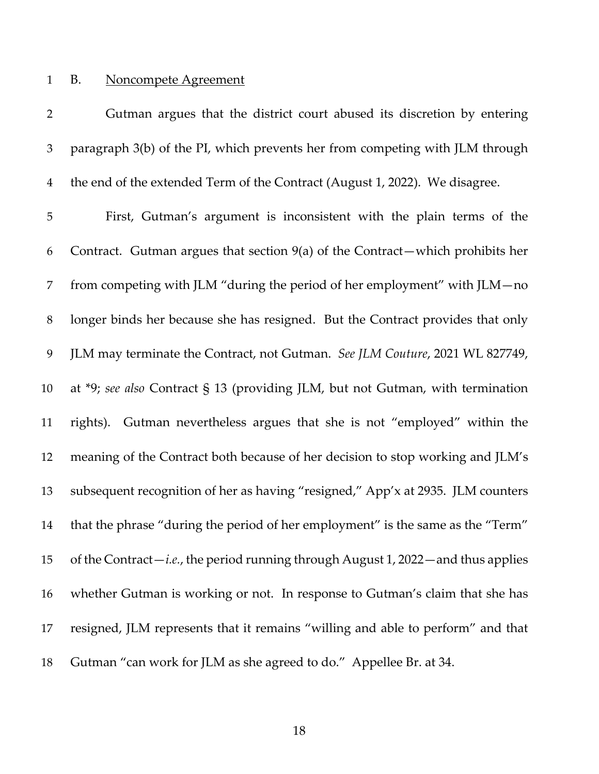## B. Noncompete Agreement

| $\overline{2}$ | Gutman argues that the district court abused its discretion by entering                   |
|----------------|-------------------------------------------------------------------------------------------|
| 3              | paragraph 3(b) of the PI, which prevents her from competing with JLM through              |
| $\overline{4}$ | the end of the extended Term of the Contract (August 1, 2022). We disagree.               |
| $\mathbf 5$    | First, Gutman's argument is inconsistent with the plain terms of the                      |
| 6              | Contract. Gutman argues that section $9(a)$ of the Contract—which prohibits her           |
| 7              | from competing with JLM "during the period of her employment" with JLM-no                 |
| $8\,$          | longer binds her because she has resigned. But the Contract provides that only            |
| 9              | JLM may terminate the Contract, not Gutman. See JLM Couture, 2021 WL 827749,              |
| 10             | at $*9$ ; see also Contract § 13 (providing JLM, but not Gutman, with termination         |
| 11             | rights). Gutman nevertheless argues that she is not "employed" within the                 |
| 12             | meaning of the Contract both because of her decision to stop working and JLM's            |
| 13             | subsequent recognition of her as having "resigned," App'x at 2935. JLM counters           |
| 14             | that the phrase "during the period of her employment" is the same as the "Term"           |
| 15             | of the Contract— <i>i.e.</i> , the period running through August 1, 2022—and thus applies |
| 16             | whether Gutman is working or not. In response to Gutman's claim that she has              |
| 17             | resigned, JLM represents that it remains "willing and able to perform" and that           |
| 18             | Gutman "can work for JLM as she agreed to do." Appellee Br. at 34.                        |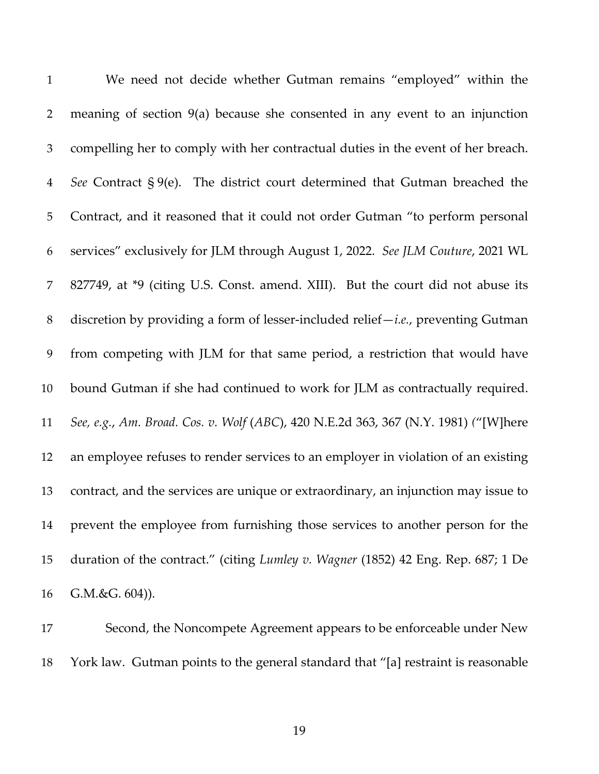| $\mathbf{1}$   | We need not decide whether Gutman remains "employed" within the                     |
|----------------|-------------------------------------------------------------------------------------|
| $\overline{2}$ | meaning of section $9(a)$ because she consented in any event to an injunction       |
| 3              | compelling her to comply with her contractual duties in the event of her breach.    |
| $\overline{4}$ | See Contract § 9(e). The district court determined that Gutman breached the         |
| 5              | Contract, and it reasoned that it could not order Gutman "to perform personal       |
| 6              | services" exclusively for JLM through August 1, 2022. See JLM Couture, 2021 WL      |
| 7              | 827749, at *9 (citing U.S. Const. amend. XIII). But the court did not abuse its     |
| $8\,$          | discretion by providing a form of lesser-included relief $-i.e.,$ preventing Gutman |
| 9              | from competing with JLM for that same period, a restriction that would have         |
| 10             | bound Gutman if she had continued to work for JLM as contractually required.        |
| 11             | See, e.g., Am. Broad. Cos. v. Wolf (ABC), 420 N.E.2d 363, 367 (N.Y. 1981) ("[W]here |
| 12             | an employee refuses to render services to an employer in violation of an existing   |
| 13             | contract, and the services are unique or extraordinary, an injunction may issue to  |
| 14             | prevent the employee from furnishing those services to another person for the       |
| 15             | duration of the contract." (citing Lumley v. Wagner (1852) 42 Eng. Rep. 687; 1 De   |
| 16             | G.M.&G. 604)).                                                                      |

 Second, the Noncompete Agreement appears to be enforceable under New York law. Gutman points to the general standard that "[a] restraint is reasonable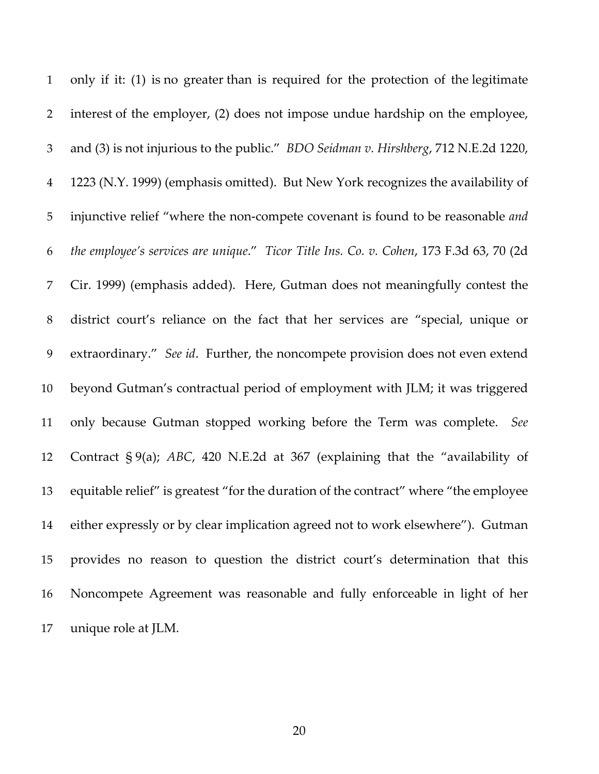only if it: (1) is no greater than is required for the protection of the legitimate interest of the employer, (2) does not impose undue hardship on the employee, and (3) is not injurious to the public." *BDO Seidman v. Hirshberg*, 712 N.E.2d 1220, 1223 (N.Y. 1999) (emphasis omitted). But New York recognizes the availability of injunctive relief "where the non-compete covenant is found to be reasonable *and the employee's services are unique*." *Ticor Title Ins. Co. v. Cohen*, 173 F.3d 63, 70 (2d Cir. 1999) (emphasis added). Here, Gutman does not meaningfully contest the district court's reliance on the fact that her services are "special, unique or extraordinary." *See id*. Further, the noncompete provision does not even extend beyond Gutman's contractual period of employment with JLM; it was triggered only because Gutman stopped working before the Term was complete. *See*  Contract § 9(a); *ABC*, 420 N.E.2d at 367 (explaining that the "availability of equitable relief" is greatest "for the duration of the contract" where "the employee either expressly or by clear implication agreed not to work elsewhere"). Gutman provides no reason to question the district court's determination that this Noncompete Agreement was reasonable and fully enforceable in light of her unique role at JLM.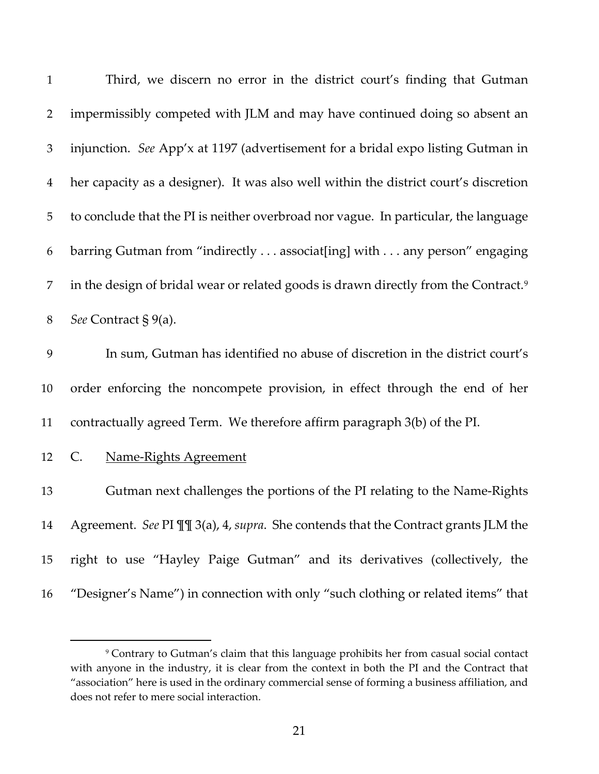| $\mathbf{1}$   | Third, we discern no error in the district court's finding that Gutman                          |
|----------------|-------------------------------------------------------------------------------------------------|
| $\overline{2}$ | impermissibly competed with JLM and may have continued doing so absent an                       |
| 3              | injunction. See App'x at 1197 (advertisement for a bridal expo listing Gutman in                |
| $\overline{4}$ | her capacity as a designer). It was also well within the district court's discretion            |
| 5              | to conclude that the PI is neither overbroad nor vague. In particular, the language             |
| 6              | barring Gutman from "indirectly associat[ing] with any person" engaging                         |
| $\overline{7}$ | in the design of bridal wear or related goods is drawn directly from the Contract. <sup>9</sup> |
| $8\,$          | See Contract § 9(a).                                                                            |
| 9              | In sum, Gutman has identified no abuse of discretion in the district court's                    |
| 10             | order enforcing the noncompete provision, in effect through the end of her                      |
| 11             | contractually agreed Term. We therefore affirm paragraph 3(b) of the PI.                        |
| 12             | C.<br><b>Name-Rights Agreement</b>                                                              |
| 13             | Gutman next challenges the portions of the PI relating to the Name-Rights                       |
| 14             | Agreement. See PI III 3(a), 4, supra. She contends that the Contract grants JLM the             |
| 15             | right to use "Hayley Paige Gutman" and its derivatives (collectively, the                       |
| 16             | "Designer's Name") in connection with only "such clothing or related items" that                |
|                |                                                                                                 |

<span id="page-20-0"></span> Contrary to Gutman's claim that this language prohibits her from casual social contact with anyone in the industry, it is clear from the context in both the PI and the Contract that "association" here is used in the ordinary commercial sense of forming a business affiliation, and does not refer to mere social interaction.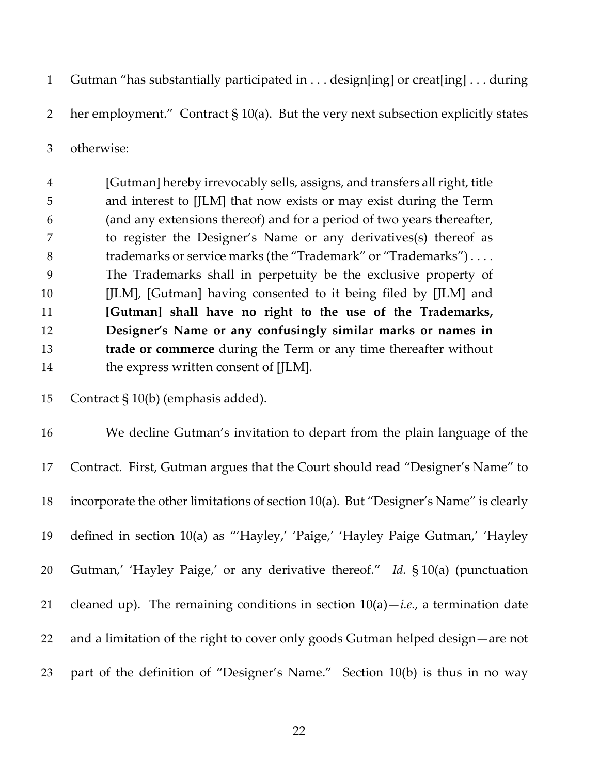Gutman "has substantially participated in . . . design[ing] or creat[ing] . . . during

her employment." Contract § 10(a). But the very next subsection explicitly states

otherwise:

 [Gutman] hereby irrevocably sells, assigns, and transfers all right, title and interest to [JLM] that now exists or may exist during the Term (and any extensions thereof) and for a period of two years thereafter, to register the Designer's Name or any derivatives(s) thereof as trademarks or service marks (the "Trademark" or "Trademarks") . . . . The Trademarks shall in perpetuity be the exclusive property of [JLM], [Gutman] having consented to it being filed by [JLM] and **[Gutman] shall have no right to the use of the Trademarks, Designer's Name or any confusingly similar marks or names in trade or commerce** during the Term or any time thereafter without 14 the express written consent of [JLM].

|  | 15 Contract $\S 10(b)$ (emphasis added). |
|--|------------------------------------------|
|  |                                          |

 We decline Gutman's invitation to depart from the plain language of the Contract. First, Gutman argues that the Court should read "Designer's Name" to incorporate the other limitations of section 10(a). But "Designer's Name" is clearly defined in section 10(a) as "'Hayley,' 'Paige,' 'Hayley Paige Gutman,' 'Hayley Gutman,' 'Hayley Paige,' or any derivative thereof." *Id.* § 10(a) (punctuation 21 cleaned up). The remaining conditions in section  $10(a) - i.e.,$  a termination date and a limitation of the right to cover only goods Gutman helped design—are not part of the definition of "Designer's Name." Section 10(b) is thus in no way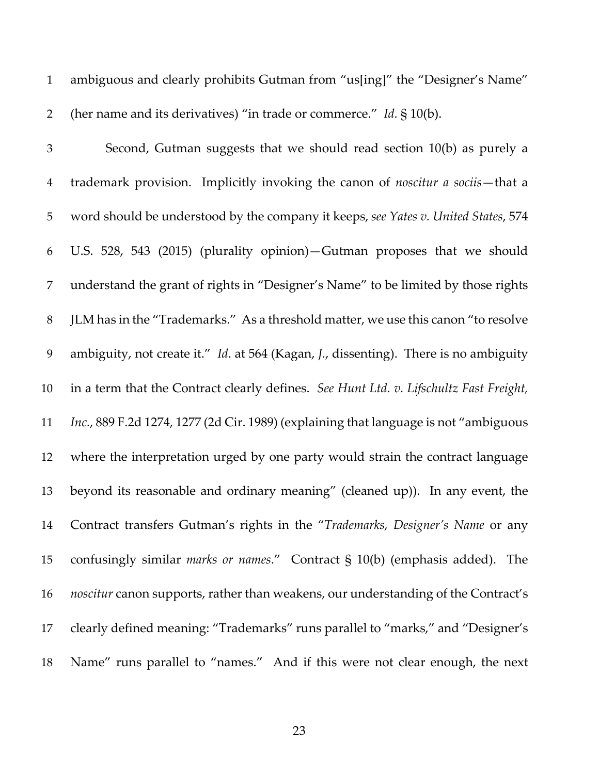ambiguous and clearly prohibits Gutman from "us[ing]" the "Designer's Name" (her name and its derivatives) "in trade or commerce." *Id.* § 10(b).

 Second, Gutman suggests that we should read section 10(b) as purely a trademark provision. Implicitly invoking the canon of *noscitur a sociis*—that a word should be understood by the company it keeps, *see Yates v. United States*, 574 U.S. 528, 543 (2015) (plurality opinion)—Gutman proposes that we should understand the grant of rights in "Designer's Name" to be limited by those rights JLM has in the "Trademarks." As a threshold matter, we use this canon "to resolve ambiguity, not create it." *Id*. at 564 (Kagan, *J.*, dissenting). There is no ambiguity in a term that the Contract clearly defines. *See Hunt Ltd. v. Lifschultz Fast Freight, Inc.*, 889 F.2d 1274, 1277 (2d Cir. 1989) (explaining that language is not "ambiguous where the interpretation urged by one party would strain the contract language beyond its reasonable and ordinary meaning" (cleaned up)). In any event, the Contract transfers Gutman's rights in the "*Trademarks, Designer's Name* or any confusingly similar *marks or names*." Contract § 10(b) (emphasis added). The *noscitur* canon supports, rather than weakens, our understanding of the Contract's clearly defined meaning: "Trademarks" runs parallel to "marks," and "Designer's Name" runs parallel to "names." And if this were not clear enough, the next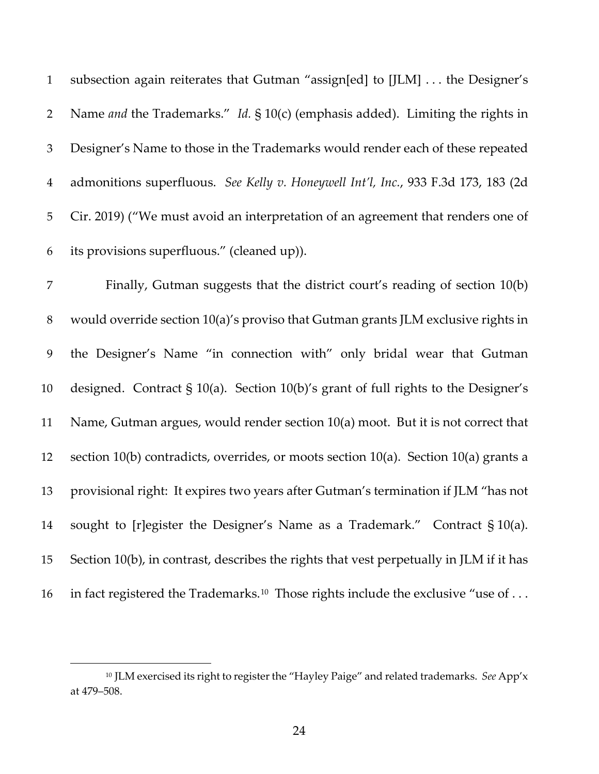subsection again reiterates that Gutman "assign[ed] to [JLM] . . . the Designer's Name *and* the Trademarks." *Id.* § 10(c) (emphasis added). Limiting the rights in Designer's Name to those in the Trademarks would render each of these repeated admonitions superfluous. *See Kelly v. Honeywell Int'l, Inc.*, 933 F.3d 173, 183 (2d Cir. 2019) ("We must avoid an interpretation of an agreement that renders one of its provisions superfluous." (cleaned up)).

 Finally, Gutman suggests that the district court's reading of section 10(b) would override section 10(a)'s proviso that Gutman grants JLM exclusive rights in the Designer's Name "in connection with" only bridal wear that Gutman designed. Contract § 10(a). Section 10(b)'s grant of full rights to the Designer's Name, Gutman argues, would render section 10(a) moot. But it is not correct that 12 section 10(b) contradicts, overrides, or moots section 10(a). Section 10(a) grants a provisional right: It expires two years after Gutman's termination if JLM "has not sought to [r]egister the Designer's Name as a Trademark." Contract § 10(a). Section 10(b), in contrast, describes the rights that vest perpetually in JLM if it has in fact registered the Trademarks.<sup>10</sup> Those rights include the exclusive "use of ...

<span id="page-23-0"></span> JLM exercised its right to register the "Hayley Paige" and related trademarks. *See* App'x at 479–508.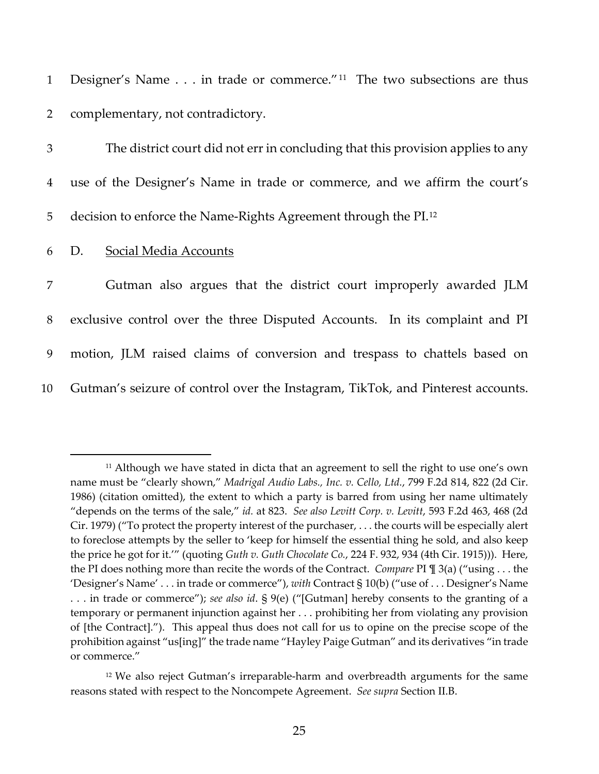|                | 1 Designer's Name in trade or commerce." <sup>11</sup> The two subsections are thus |
|----------------|-------------------------------------------------------------------------------------|
|                | 2 complementary, not contradictory.                                                 |
| $\mathfrak{Z}$ | The district court did not err in concluding that this provision applies to any     |
| $\overline{4}$ | use of the Designer's Name in trade or commerce, and we affirm the court's          |
| 5 <sub>1</sub> | decision to enforce the Name-Rights Agreement through the PI. <sup>12</sup>         |

6 D. Social Media Accounts

 Gutman also argues that the district court improperly awarded JLM exclusive control over the three Disputed Accounts. In its complaint and PI motion, JLM raised claims of conversion and trespass to chattels based on Gutman's seizure of control over the Instagram, TikTok, and Pinterest accounts.

<span id="page-24-0"></span><sup>&</sup>lt;sup>11</sup> Although we have stated in dicta that an agreement to sell the right to use one's own name must be "clearly shown," *Madrigal Audio Labs., Inc. v. Cello, Ltd.*, 799 F.2d 814, 822 (2d Cir. 1986) (citation omitted), the extent to which a party is barred from using her name ultimately "depends on the terms of the sale," *id.* at 823. *See also Levitt Corp. v. Levitt*, 593 F.2d 463, 468 (2d Cir. 1979) ("To protect the property interest of the purchaser, . . . the courts will be especially alert to foreclose attempts by the seller to 'keep for himself the essential thing he sold, and also keep the price he got for it.'" (quoting *Guth v. Guth Chocolate Co.*, 224 F. 932, 934 (4th Cir. 1915))). Here, the PI does nothing more than recite the words of the Contract. *Compare* PI ¶ 3(a) ("using . . . the 'Designer's Name' . . . in trade or commerce"), *with* Contract § 10(b) ("use of . . . Designer's Name . . . in trade or commerce"); *see also id*. § 9(e) ("[Gutman] hereby consents to the granting of a temporary or permanent injunction against her . . . prohibiting her from violating any provision of [the Contract]."). This appeal thus does not call for us to opine on the precise scope of the prohibition against "us[ing]" the trade name "Hayley Paige Gutman" and its derivatives "in trade or commerce."

<span id="page-24-1"></span><sup>&</sup>lt;sup>12</sup> We also reject Gutman's irreparable-harm and overbreadth arguments for the same reasons stated with respect to the Noncompete Agreement. *See supra* Section II.B.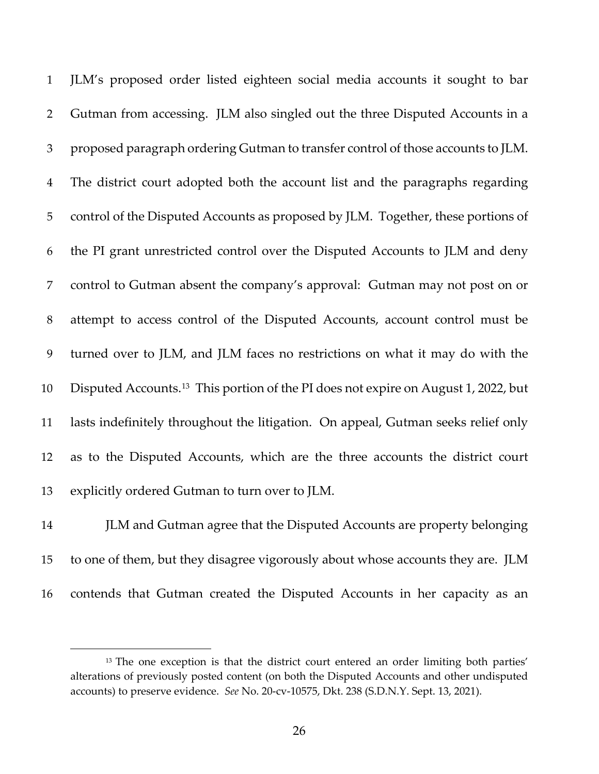JLM's proposed order listed eighteen social media accounts it sought to bar Gutman from accessing. JLM also singled out the three Disputed Accounts in a proposed paragraph ordering Gutman to transfer control of those accounts to JLM. The district court adopted both the account list and the paragraphs regarding control of the Disputed Accounts as proposed by JLM. Together, these portions of the PI grant unrestricted control over the Disputed Accounts to JLM and deny control to Gutman absent the company's approval: Gutman may not post on or attempt to access control of the Disputed Accounts, account control must be turned over to JLM, and JLM faces no restrictions on what it may do with the Disputed Accounts.<sup>13</sup> This portion of the PI does not expire on August 1, 2022, but lasts indefinitely throughout the litigation. On appeal, Gutman seeks relief only as to the Disputed Accounts, which are the three accounts the district court explicitly ordered Gutman to turn over to JLM.

 JLM and Gutman agree that the Disputed Accounts are property belonging to one of them, but they disagree vigorously about whose accounts they are. JLM contends that Gutman created the Disputed Accounts in her capacity as an

<span id="page-25-0"></span><sup>&</sup>lt;sup>13</sup> The one exception is that the district court entered an order limiting both parties' alterations of previously posted content (on both the Disputed Accounts and other undisputed accounts) to preserve evidence. *See* No. 20-cv-10575, Dkt. 238 (S.D.N.Y. Sept. 13, 2021).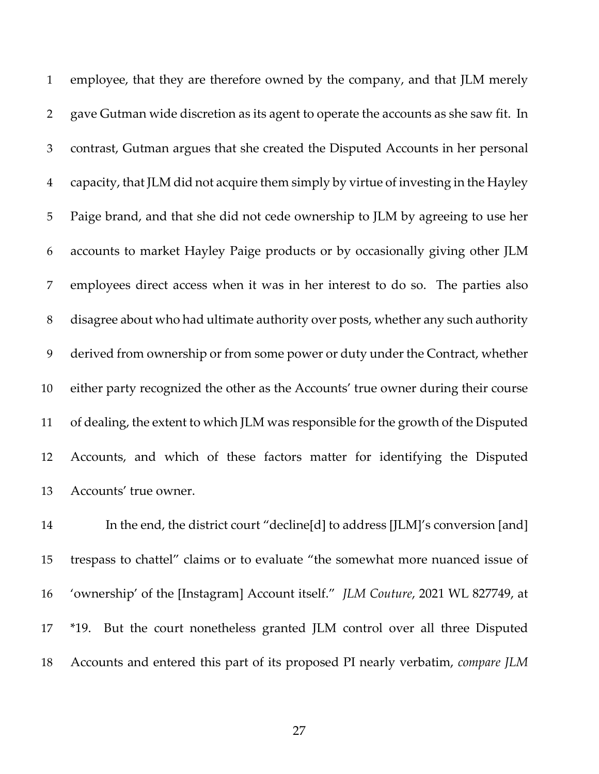employee, that they are therefore owned by the company, and that JLM merely gave Gutman wide discretion as its agent to operate the accounts as she saw fit. In contrast, Gutman argues that she created the Disputed Accounts in her personal capacity, that JLM did not acquire them simply by virtue of investing in the Hayley Paige brand, and that she did not cede ownership to JLM by agreeing to use her accounts to market Hayley Paige products or by occasionally giving other JLM employees direct access when it was in her interest to do so. The parties also disagree about who had ultimate authority over posts, whether any such authority derived from ownership or from some power or duty under the Contract, whether either party recognized the other as the Accounts' true owner during their course of dealing, the extent to which JLM was responsible for the growth of the Disputed Accounts, and which of these factors matter for identifying the Disputed Accounts' true owner.

 In the end, the district court "decline[d] to address [JLM]'s conversion [and] trespass to chattel" claims or to evaluate "the somewhat more nuanced issue of 'ownership' of the [Instagram] Account itself." *JLM Couture*, 2021 WL 827749, at \*19. But the court nonetheless granted JLM control over all three Disputed Accounts and entered this part of its proposed PI nearly verbatim, *compare JLM*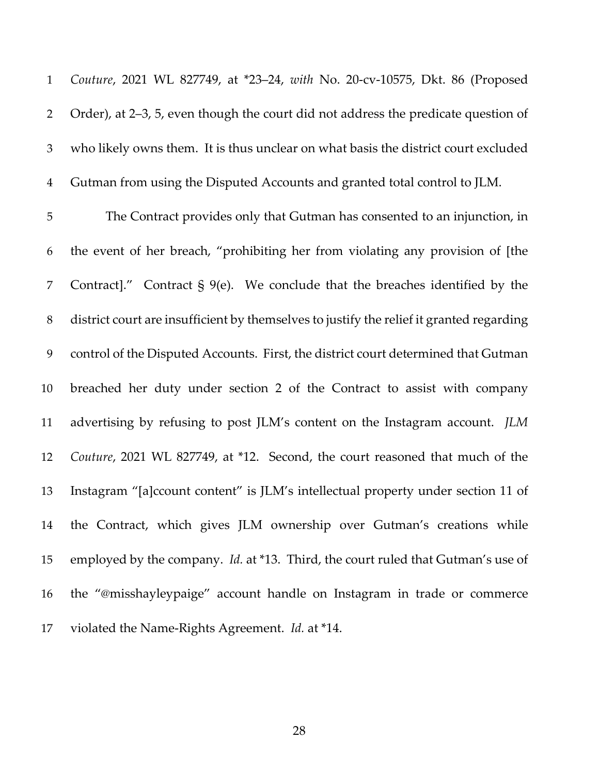*Couture*, 2021 WL 827749, at \*23–24, *with* No. 20-cv-10575, Dkt. 86 (Proposed Order), at 2–3, 5, even though the court did not address the predicate question of who likely owns them. It is thus unclear on what basis the district court excluded Gutman from using the Disputed Accounts and granted total control to JLM.

 The Contract provides only that Gutman has consented to an injunction, in the event of her breach, "prohibiting her from violating any provision of [the Contract]." Contract § 9(e). We conclude that the breaches identified by the district court are insufficient by themselves to justify the relief it granted regarding control of the Disputed Accounts. First, the district court determined that Gutman breached her duty under section 2 of the Contract to assist with company advertising by refusing to post JLM's content on the Instagram account. *JLM Couture*, 2021 WL 827749, at \*12. Second, the court reasoned that much of the Instagram "[a]ccount content" is JLM's intellectual property under section 11 of the Contract, which gives JLM ownership over Gutman's creations while employed by the company. *Id.* at \*13. Third, the court ruled that Gutman's use of the "@misshayleypaige" account handle on Instagram in trade or commerce violated the Name-Rights Agreement. *Id.* at \*14.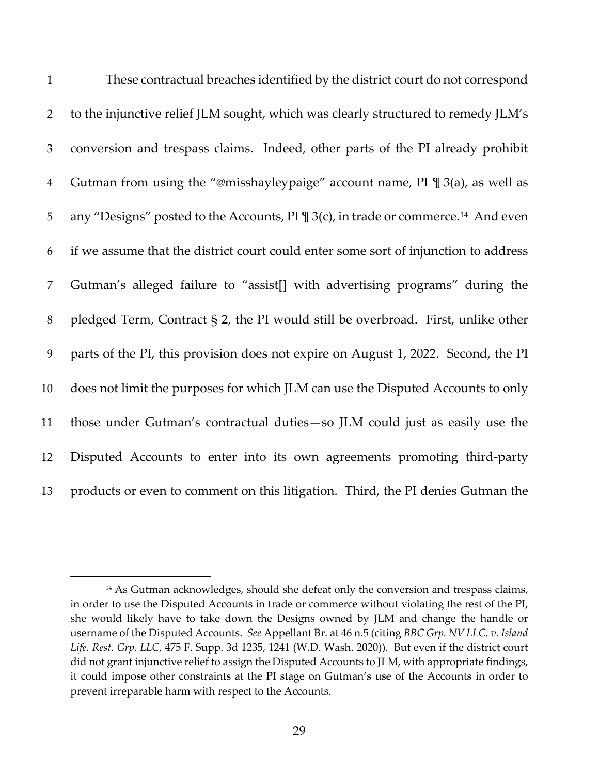| $\mathbf{1}$   | These contractual breaches identified by the district court do not correspond                 |
|----------------|-----------------------------------------------------------------------------------------------|
| $\overline{2}$ | to the injunctive relief JLM sought, which was clearly structured to remedy JLM's             |
| 3              | conversion and trespass claims. Indeed, other parts of the PI already prohibit                |
| $\overline{4}$ | Gutman from using the "@misshayleypaige" account name, $PI \mathbb{I}$ 3(a), as well as       |
| 5              | any "Designs" posted to the Accounts, PI ¶ 3(c), in trade or commerce. <sup>14</sup> And even |
| 6              | if we assume that the district court could enter some sort of injunction to address           |
| 7              | Gutman's alleged failure to "assist[] with advertising programs" during the                   |
| 8              | pledged Term, Contract § 2, the PI would still be overbroad. First, unlike other              |
| 9              | parts of the PI, this provision does not expire on August 1, 2022. Second, the PI             |
| 10             | does not limit the purposes for which JLM can use the Disputed Accounts to only               |
| 11             | those under Gutman's contractual duties-so JLM could just as easily use the                   |
| 12             | Disputed Accounts to enter into its own agreements promoting third-party                      |
| 13             | products or even to comment on this litigation. Third, the PI denies Gutman the               |

<span id="page-28-0"></span><sup>&</sup>lt;sup>14</sup> As Gutman acknowledges, should she defeat only the conversion and trespass claims, in order to use the Disputed Accounts in trade or commerce without violating the rest of the PI, she would likely have to take down the Designs owned by JLM and change the handle or username of the Disputed Accounts. *See* Appellant Br. at 46 n.5 (citing *BBC Grp. NV LLC. v. Island Life. Rest. Grp. LLC*, 475 F. Supp. 3d 1235, 1241 (W.D. Wash. 2020)). But even if the district court did not grant injunctive relief to assign the Disputed Accounts to JLM, with appropriate findings, it could impose other constraints at the PI stage on Gutman's use of the Accounts in order to prevent irreparable harm with respect to the Accounts.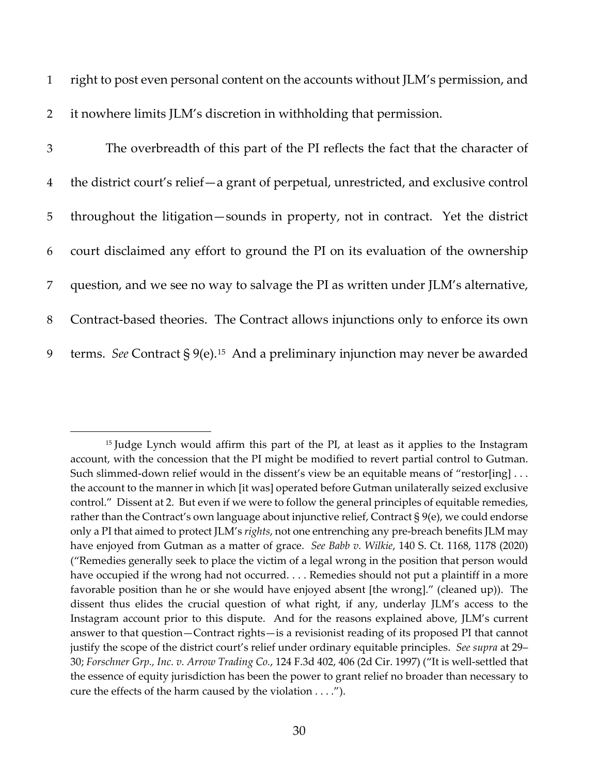1 right to post even personal content on the accounts without JLM's permission, and

2 it nowhere limits JLM's discretion in withholding that permission.

| 3              | The overbreadth of this part of the PI reflects the fact that the character of                  |
|----------------|-------------------------------------------------------------------------------------------------|
| $\overline{4}$ | the district court's relief - a grant of perpetual, unrestricted, and exclusive control         |
| 5 <sup>5</sup> | throughout the litigation-sounds in property, not in contract. Yet the district                 |
| 6              | court disclaimed any effort to ground the PI on its evaluation of the ownership                 |
| $7^{\circ}$    | question, and we see no way to salvage the PI as written under JLM's alternative,               |
| 8              | Contract-based theories. The Contract allows injunctions only to enforce its own                |
| 9              | terms. See Contract $\S 9(e)$ . <sup>15</sup> And a preliminary injunction may never be awarded |

<span id="page-29-0"></span><sup>&</sup>lt;sup>15</sup> Judge Lynch would affirm this part of the PI, at least as it applies to the Instagram account, with the concession that the PI might be modified to revert partial control to Gutman. Such slimmed-down relief would in the dissent's view be an equitable means of "restor[ing] ... the account to the manner in which [it was] operated before Gutman unilaterally seized exclusive control." Dissent at 2. But even if we were to follow the general principles of equitable remedies, rather than the Contract's own language about injunctive relief, Contract § 9(e), we could endorse only a PI that aimed to protect JLM's *rights*, not one entrenching any pre-breach benefits JLM may have enjoyed from Gutman as a matter of grace. *See Babb v. Wilkie*, 140 S. Ct. 1168, 1178 (2020) ("Remedies generally seek to place the victim of a legal wrong in the position that person would have occupied if the wrong had not occurred. . . . Remedies should not put a plaintiff in a more favorable position than he or she would have enjoyed absent [the wrong]." (cleaned up)). The dissent thus elides the crucial question of what right, if any, underlay JLM's access to the Instagram account prior to this dispute. And for the reasons explained above, JLM's current answer to that question—Contract rights—is a revisionist reading of its proposed PI that cannot justify the scope of the district court's relief under ordinary equitable principles. *See supra* at 29– 30; *Forschner Grp., Inc. v. Arrow Trading Co.*, 124 F.3d 402, 406 (2d Cir. 1997) ("It is well-settled that the essence of equity jurisdiction has been the power to grant relief no broader than necessary to cure the effects of the harm caused by the violation . . . .").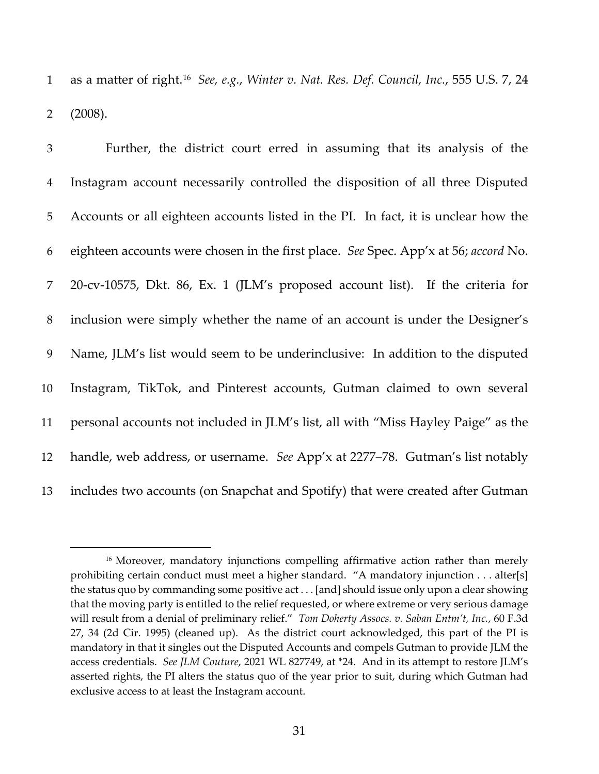as a matter of right.<sup>[16](#page-30-0)</sup> *See, e.g., Winter v. Nat. Res. Def. Council, Inc.,* 555 U.S. 7, 24 2 (2008).

 Further, the district court erred in assuming that its analysis of the Instagram account necessarily controlled the disposition of all three Disputed Accounts or all eighteen accounts listed in the PI. In fact, it is unclear how the eighteen accounts were chosen in the first place. *See* Spec. App'x at 56; *accord* No. 20-cv-10575, Dkt. 86, Ex. 1 (JLM's proposed account list). If the criteria for inclusion were simply whether the name of an account is under the Designer's Name, JLM's list would seem to be underinclusive: In addition to the disputed Instagram, TikTok, and Pinterest accounts, Gutman claimed to own several personal accounts not included in JLM's list, all with "Miss Hayley Paige" as the handle, web address, or username. *See* App'x at 2277–78. Gutman's list notably includes two accounts (on Snapchat and Spotify) that were created after Gutman

<span id="page-30-0"></span><sup>&</sup>lt;sup>16</sup> Moreover, mandatory injunctions compelling affirmative action rather than merely prohibiting certain conduct must meet a higher standard. "A mandatory injunction . . . alter[s] the status quo by commanding some positive act . . . [and] should issue only upon a clear showing that the moving party is entitled to the relief requested, or where extreme or very serious damage will result from a denial of preliminary relief." *Tom Doherty Assocs. v. Saban Entm't, Inc.*, 60 F.3d 27, 34 (2d Cir. 1995) (cleaned up). As the district court acknowledged, this part of the PI is mandatory in that it singles out the Disputed Accounts and compels Gutman to provide JLM the access credentials. *See JLM Couture*, 2021 WL 827749, at \*24. And in its attempt to restore JLM's asserted rights, the PI alters the status quo of the year prior to suit, during which Gutman had exclusive access to at least the Instagram account.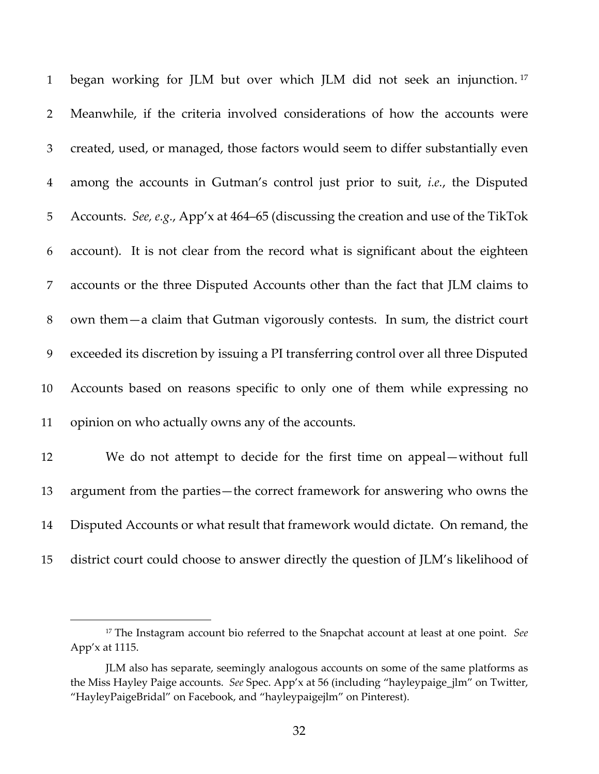| $\mathbf{1}$   | began working for JLM but over which JLM did not seek an injunction. <sup>17</sup>    |
|----------------|---------------------------------------------------------------------------------------|
| $\overline{2}$ | Meanwhile, if the criteria involved considerations of how the accounts were           |
| 3              | created, used, or managed, those factors would seem to differ substantially even      |
| $\overline{4}$ | among the accounts in Gutman's control just prior to suit, <i>i.e.</i> , the Disputed |
| 5              | Accounts. See, e.g., App'x at 464–65 (discussing the creation and use of the TikTok   |
| 6              | account). It is not clear from the record what is significant about the eighteen      |
| 7              | accounts or the three Disputed Accounts other than the fact that JLM claims to        |
| $8\,$          | own them—a claim that Gutman vigorously contests. In sum, the district court          |
| 9              | exceeded its discretion by issuing a PI transferring control over all three Disputed  |
| 10             | Accounts based on reasons specific to only one of them while expressing no            |
| 11             | opinion on who actually owns any of the accounts.                                     |
| 12             | We do not attempt to decide for the first time on appeal—without full                 |
| 13             | argument from the parties—the correct framework for answering who owns the            |

- Disputed Accounts or what result that framework would dictate. On remand, the
- district court could choose to answer directly the question of JLM's likelihood of

<span id="page-31-0"></span> The Instagram account bio referred to the Snapchat account at least at one point. *See*  App'x at 1115.

JLM also has separate, seemingly analogous accounts on some of the same platforms as the Miss Hayley Paige accounts. *See* Spec. App'x at 56 (including "hayleypaige\_jlm" on Twitter, "HayleyPaigeBridal" on Facebook, and "hayleypaigejlm" on Pinterest).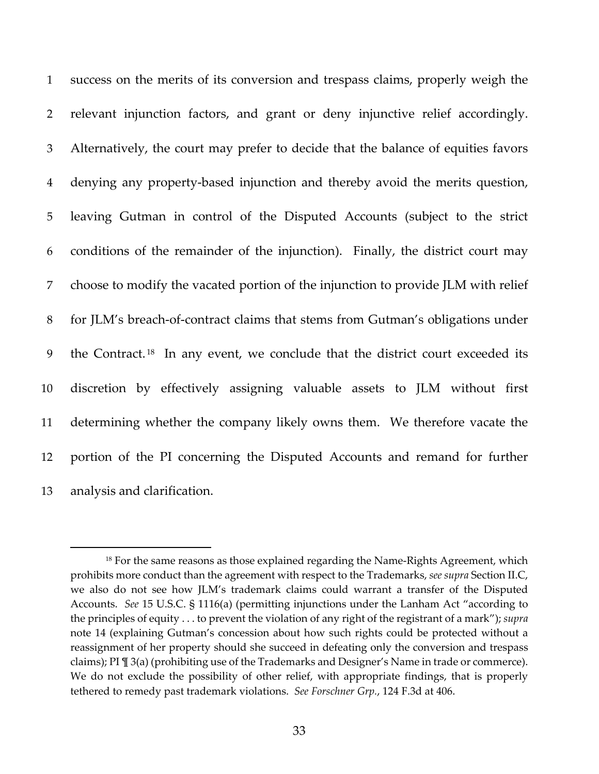success on the merits of its conversion and trespass claims, properly weigh the relevant injunction factors, and grant or deny injunctive relief accordingly. Alternatively, the court may prefer to decide that the balance of equities favors denying any property-based injunction and thereby avoid the merits question, leaving Gutman in control of the Disputed Accounts (subject to the strict conditions of the remainder of the injunction). Finally, the district court may choose to modify the vacated portion of the injunction to provide JLM with relief for JLM's breach-of-contract claims that stems from Gutman's obligations under 9 the Contract.<sup>18</sup> In any event, we conclude that the district court exceeded its discretion by effectively assigning valuable assets to JLM without first determining whether the company likely owns them. We therefore vacate the portion of the PI concerning the Disputed Accounts and remand for further analysis and clarification.

<span id="page-32-0"></span><sup>&</sup>lt;sup>18</sup> For the same reasons as those explained regarding the Name-Rights Agreement, which prohibits more conduct than the agreement with respect to the Trademarks, *see supra* Section II.C, we also do not see how JLM's trademark claims could warrant a transfer of the Disputed Accounts. *See* 15 U.S.C. § 1116(a) (permitting injunctions under the Lanham Act "according to the principles of equity . . . to prevent the violation of any right of the registrant of a mark"); *supra*  note 14 (explaining Gutman's concession about how such rights could be protected without a reassignment of her property should she succeed in defeating only the conversion and trespass claims); PI ¶ 3(a) (prohibiting use of the Trademarks and Designer's Name in trade or commerce). We do not exclude the possibility of other relief, with appropriate findings, that is properly tethered to remedy past trademark violations. *See Forschner Grp.*, 124 F.3d at 406.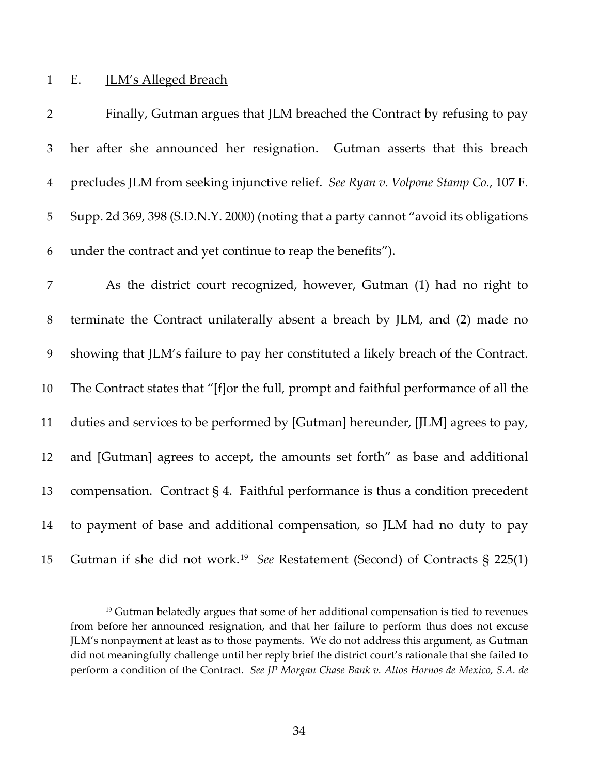## E. JLM's Alleged Breach

| $\overline{2}$ | Finally, Gutman argues that JLM breached the Contract by refusing to pay                 |
|----------------|------------------------------------------------------------------------------------------|
| $\mathfrak{Z}$ | her after she announced her resignation. Gutman asserts that this breach                 |
| $\overline{4}$ | precludes JLM from seeking injunctive relief. See Ryan v. Volpone Stamp Co., 107 F.      |
| $\mathbf 5$    | Supp. 2d 369, 398 (S.D.N.Y. 2000) (noting that a party cannot "avoid its obligations     |
| 6              | under the contract and yet continue to reap the benefits").                              |
| 7              | As the district court recognized, however, Gutman (1) had no right to                    |
| $8\,$          | terminate the Contract unilaterally absent a breach by JLM, and (2) made no              |
| 9              | showing that JLM's failure to pay her constituted a likely breach of the Contract.       |
| 10             | The Contract states that "[f]or the full, prompt and faithful performance of all the     |
| 11             | duties and services to be performed by [Gutman] hereunder, [JLM] agrees to pay,          |
| 12             | and [Gutman] agrees to accept, the amounts set forth" as base and additional             |
| 13             | compensation. Contract $\S 4$ . Faithful performance is thus a condition precedent       |
| 14             | to payment of base and additional compensation, so JLM had no duty to pay                |
| 15             | Gutman if she did not work. <sup>19</sup> See Restatement (Second) of Contracts § 225(1) |

<span id="page-33-0"></span><sup>&</sup>lt;sup>19</sup> Gutman belatedly argues that some of her additional compensation is tied to revenues from before her announced resignation, and that her failure to perform thus does not excuse JLM's nonpayment at least as to those payments. We do not address this argument, as Gutman did not meaningfully challenge until her reply brief the district court's rationale that she failed to perform a condition of the Contract. *See JP Morgan Chase Bank v. Altos Hornos de Mexico, S.A. de*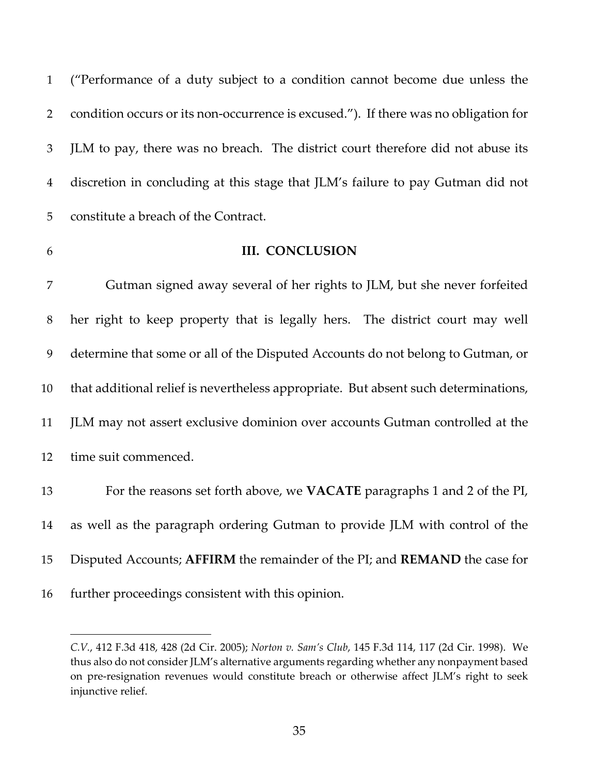("Performance of a duty subject to a condition cannot become due unless the condition occurs or its non-occurrence is excused."). If there was no obligation for JLM to pay, there was no breach. The district court therefore did not abuse its discretion in concluding at this stage that JLM's failure to pay Gutman did not constitute a breach of the Contract.

## **III. CONCLUSION**

 Gutman signed away several of her rights to JLM, but she never forfeited her right to keep property that is legally hers. The district court may well determine that some or all of the Disputed Accounts do not belong to Gutman, or that additional relief is nevertheless appropriate. But absent such determinations, JLM may not assert exclusive dominion over accounts Gutman controlled at the time suit commenced. For the reasons set forth above, we **VACATE** paragraphs 1 and 2 of the PI,

 as well as the paragraph ordering Gutman to provide JLM with control of the Disputed Accounts; **AFFIRM** the remainder of the PI; and **REMAND** the case for further proceedings consistent with this opinion.

*C.V.*, 412 F.3d 418, 428 (2d Cir. 2005); *Norton v. Sam's Club*, 145 F.3d 114, 117 (2d Cir. 1998). We thus also do not consider JLM's alternative arguments regarding whether any nonpayment based on pre-resignation revenues would constitute breach or otherwise affect JLM's right to seek injunctive relief.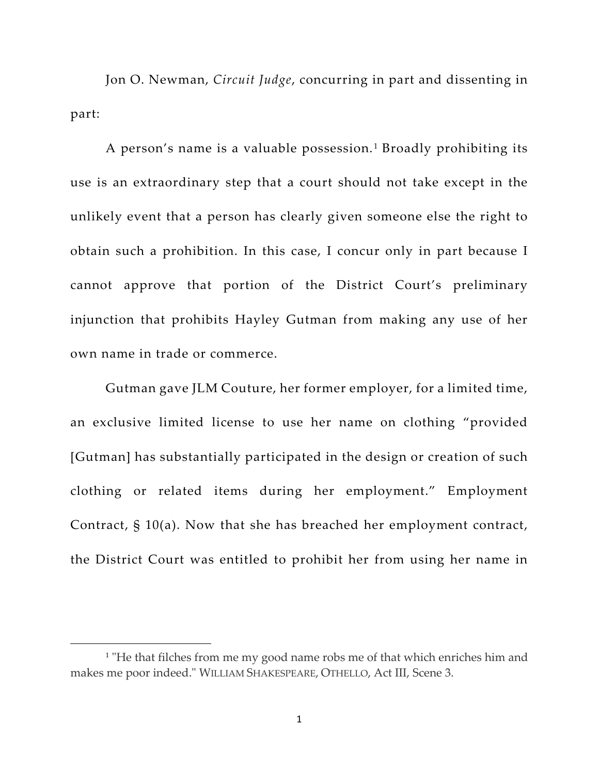Jon O. Newman, *Circuit Judge*, concurring in part and dissenting in part:

A person's name is a valuable possession. [1](#page-35-0) Broadly prohibiting its use is an extraordinary step that a court should not take except in the unlikely event that a person has clearly given someone else the right to obtain such a prohibition. In this case, I concur only in part because I cannot approve that portion of the District Court's preliminary injunction that prohibits Hayley Gutman from making any use of her own name in trade or commerce.

Gutman gave JLM Couture, her former employer, for a limited time, an exclusive limited license to use her name on clothing "provided [Gutman] has substantially participated in the design or creation of such clothing or related items during her employment." Employment Contract, § 10(a). Now that she has breached her employment contract, the District Court was entitled to prohibit her from using her name in

<span id="page-35-0"></span><sup>&</sup>lt;sup>1</sup> "He that filches from me my good name robs me of that which enriches him and makes me poor indeed." WILLIAM SHAKESPEARE, OTHELLO, Act III, Scene 3.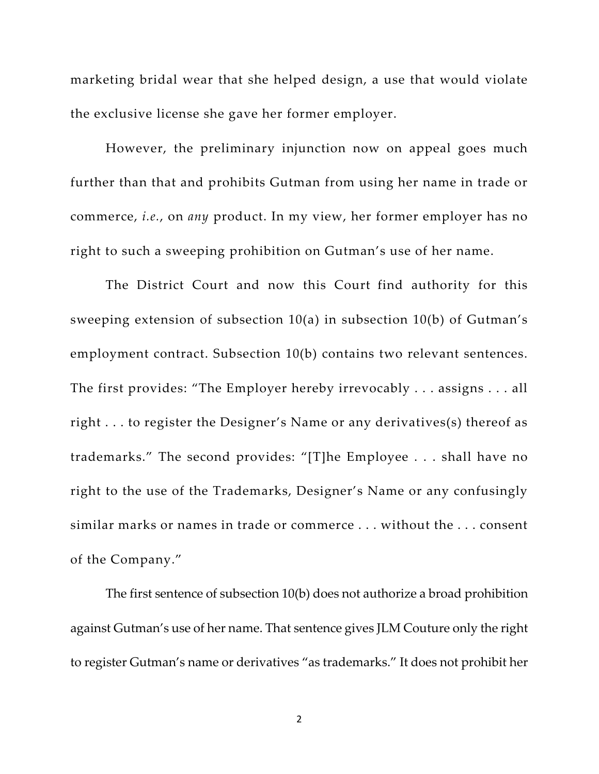marketing bridal wear that she helped design, a use that would violate the exclusive license she gave her former employer.

However, the preliminary injunction now on appeal goes much further than that and prohibits Gutman from using her name in trade or commerce, *i.e.*, on *any* product. In my view, her former employer has no right to such a sweeping prohibition on Gutman's use of her name.

The District Court and now this Court find authority for this sweeping extension of subsection 10(a) in subsection 10(b) of Gutman's employment contract. Subsection 10(b) contains two relevant sentences. The first provides: "The Employer hereby irrevocably . . . assigns . . . all right . . . to register the Designer's Name or any derivatives(s) thereof as trademarks." The second provides: "[T]he Employee . . . shall have no right to the use of the Trademarks, Designer's Name or any confusingly similar marks or names in trade or commerce . . . without the . . . consent of the Company."

The first sentence of subsection 10(b) does not authorize a broad prohibition against Gutman's use of her name. That sentence gives JLM Couture only the right to register Gutman's name or derivatives "as trademarks." It does not prohibit her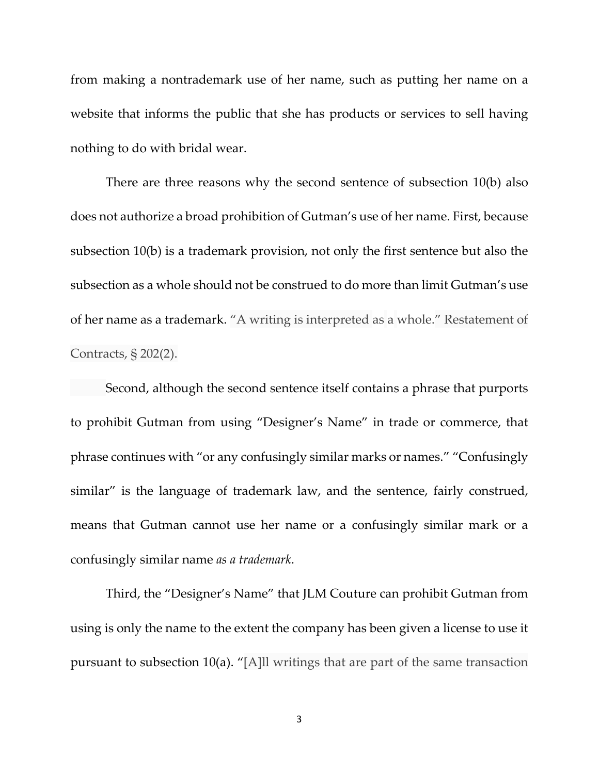from making a nontrademark use of her name, such as putting her name on a website that informs the public that she has products or services to sell having nothing to do with bridal wear.

There are three reasons why the second sentence of subsection 10(b) also does not authorize a broad prohibition of Gutman's use of her name. First, because subsection 10(b) is a trademark provision, not only the first sentence but also the subsection as a whole should not be construed to do more than limit Gutman's use of her name as a trademark. "A writing is interpreted as a whole." Restatement of Contracts, § 202(2).

Second, although the second sentence itself contains a phrase that purports to prohibit Gutman from using "Designer's Name" in trade or commerce, that phrase continues with "or any confusingly similar marks or names." "Confusingly similar" is the language of trademark law, and the sentence, fairly construed, means that Gutman cannot use her name or a confusingly similar mark or a confusingly similar name *as a trademark*.

Third, the "Designer's Name" that JLM Couture can prohibit Gutman from using is only the name to the extent the company has been given a license to use it pursuant to subsection 10(a). "[A]ll writings that are part of the same transaction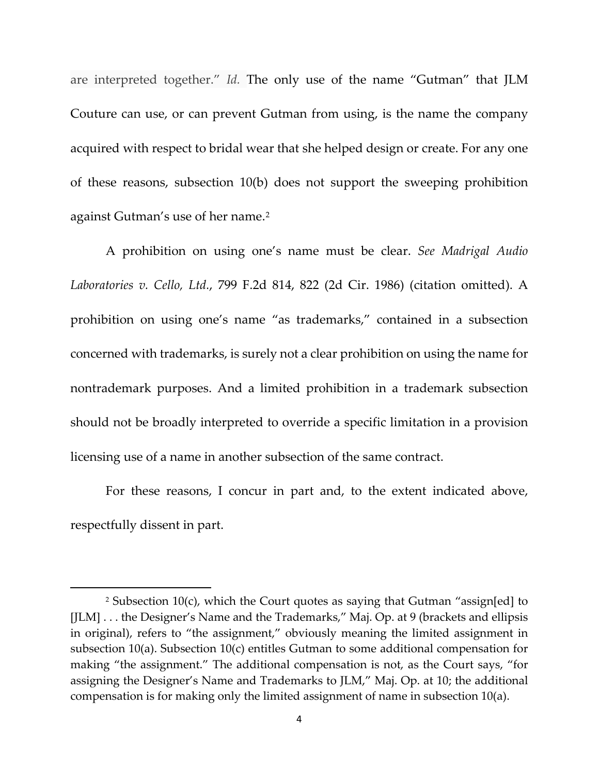are interpreted together." *Id.* The only use of the name "Gutman" that JLM Couture can use, or can prevent Gutman from using, is the name the company acquired with respect to bridal wear that she helped design or create. For any one of these reasons, subsection 10(b) does not support the sweeping prohibition against Gutman's use of her name.<sup>[2](#page-38-0)</sup>

A prohibition on using one's name must be clear. *See Madrigal Audio Laboratories v. Cello, Ltd.*, 799 F.2d 814, 822 (2d Cir. 1986) (citation omitted). A prohibition on using one's name "as trademarks," contained in a subsection concerned with trademarks, is surely not a clear prohibition on using the name for nontrademark purposes. And a limited prohibition in a trademark subsection should not be broadly interpreted to override a specific limitation in a provision licensing use of a name in another subsection of the same contract.

For these reasons, I concur in part and, to the extent indicated above, respectfully dissent in part.

<span id="page-38-0"></span><sup>2</sup> Subsection 10(c), which the Court quotes as saying that Gutman "assign[ed] to [JLM] . . . the Designer's Name and the Trademarks," Maj. Op. at 9 (brackets and ellipsis in original), refers to "the assignment," obviously meaning the limited assignment in subsection 10(a). Subsection 10(c) entitles Gutman to some additional compensation for making "the assignment." The additional compensation is not, as the Court says, "for assigning the Designer's Name and Trademarks to JLM," Maj. Op. at 10; the additional compensation is for making only the limited assignment of name in subsection 10(a).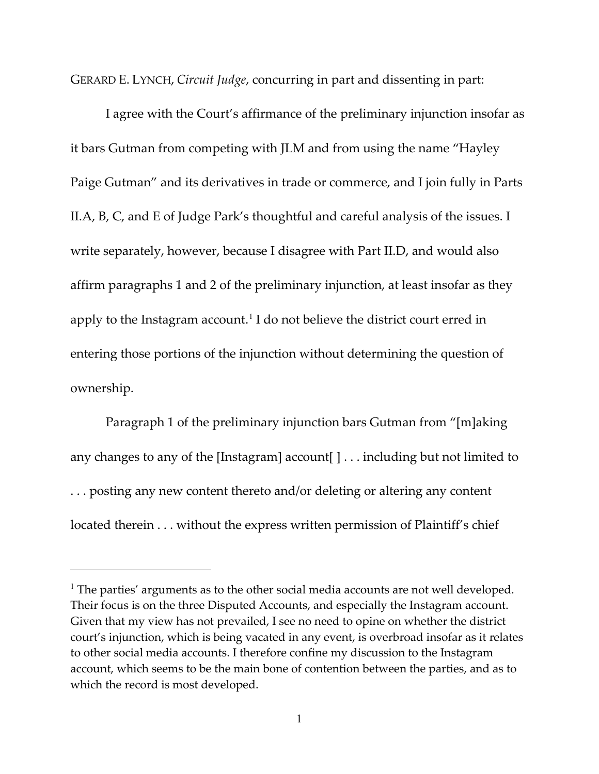GERARD E. LYNCH, *Circuit Judge*, concurring in part and dissenting in part:

I agree with the Court's affirmance of the preliminary injunction insofar as it bars Gutman from competing with JLM and from using the name "Hayley Paige Gutman" and its derivatives in trade or commerce, and I join fully in Parts II.A, B, C, and E of Judge Park's thoughtful and careful analysis of the issues. I write separately, however, because I disagree with Part II.D, and would also affirm paragraphs 1 and 2 of the preliminary injunction, at least insofar as they apply to the Instagram account.<sup>[1](#page-39-0)</sup> I do not believe the district court erred in entering those portions of the injunction without determining the question of ownership.

Paragraph 1 of the preliminary injunction bars Gutman from "[m]aking any changes to any of the [Instagram] account[ ] . . . including but not limited to . . . posting any new content thereto and/or deleting or altering any content located therein . . . without the express written permission of Plaintiff's chief

<span id="page-39-0"></span><sup>&</sup>lt;sup>1</sup> The parties' arguments as to the other social media accounts are not well developed. Their focus is on the three Disputed Accounts, and especially the Instagram account. Given that my view has not prevailed, I see no need to opine on whether the district court's injunction, which is being vacated in any event, is overbroad insofar as it relates to other social media accounts. I therefore confine my discussion to the Instagram account, which seems to be the main bone of contention between the parties, and as to which the record is most developed.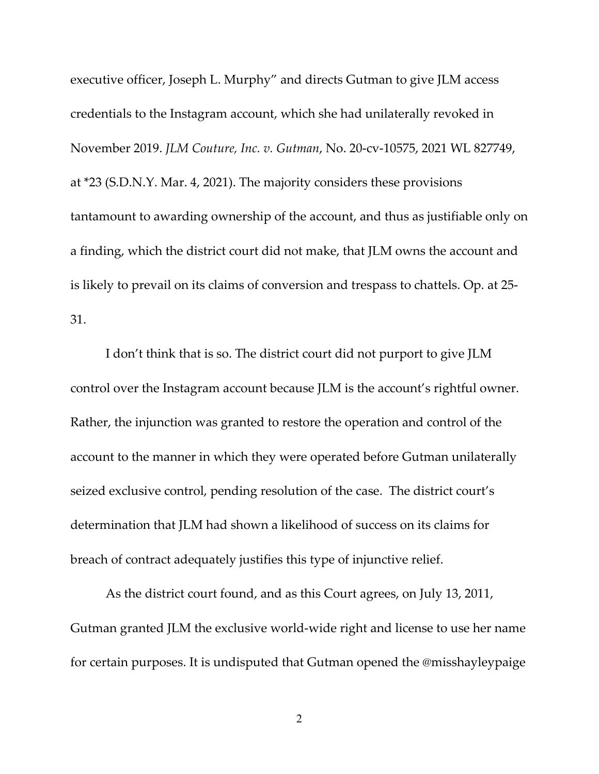executive officer, Joseph L. Murphy" and directs Gutman to give JLM access credentials to the Instagram account, which she had unilaterally revoked in November 2019. *JLM Couture, Inc. v. Gutman*, No. 20-cv-10575, 2021 WL 827749, at \*23 (S.D.N.Y. Mar. 4, 2021). The majority considers these provisions tantamount to awarding ownership of the account, and thus as justifiable only on a finding, which the district court did not make, that JLM owns the account and is likely to prevail on its claims of conversion and trespass to chattels. Op. at 25- 31.

I don't think that is so. The district court did not purport to give JLM control over the Instagram account because JLM is the account's rightful owner. Rather, the injunction was granted to restore the operation and control of the account to the manner in which they were operated before Gutman unilaterally seized exclusive control, pending resolution of the case. The district court's determination that JLM had shown a likelihood of success on its claims for breach of contract adequately justifies this type of injunctive relief.

As the district court found, and as this Court agrees, on July 13, 2011, Gutman granted JLM the exclusive world-wide right and license to use her name for certain purposes. It is undisputed that Gutman opened the @misshayleypaige

2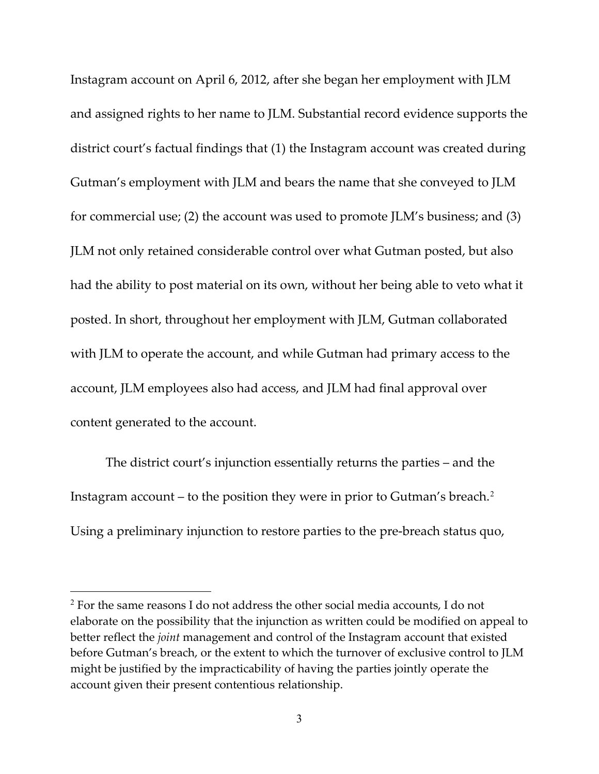Instagram account on April 6, 2012, after she began her employment with JLM and assigned rights to her name to JLM. Substantial record evidence supports the district court's factual findings that (1) the Instagram account was created during Gutman's employment with JLM and bears the name that she conveyed to JLM for commercial use; (2) the account was used to promote JLM's business; and (3) JLM not only retained considerable control over what Gutman posted, but also had the ability to post material on its own, without her being able to veto what it posted. In short, throughout her employment with JLM, Gutman collaborated with JLM to operate the account, and while Gutman had primary access to the account, JLM employees also had access, and JLM had final approval over content generated to the account.

The district court's injunction essentially returns the parties – and the Instagram account – to the position they were in prior to Gutman's breach.<sup>[2](#page-41-0)</sup> Using a preliminary injunction to restore parties to the pre-breach status quo,

<span id="page-41-0"></span> $2$  For the same reasons I do not address the other social media accounts, I do not elaborate on the possibility that the injunction as written could be modified on appeal to better reflect the *joint* management and control of the Instagram account that existed before Gutman's breach, or the extent to which the turnover of exclusive control to JLM might be justified by the impracticability of having the parties jointly operate the account given their present contentious relationship.